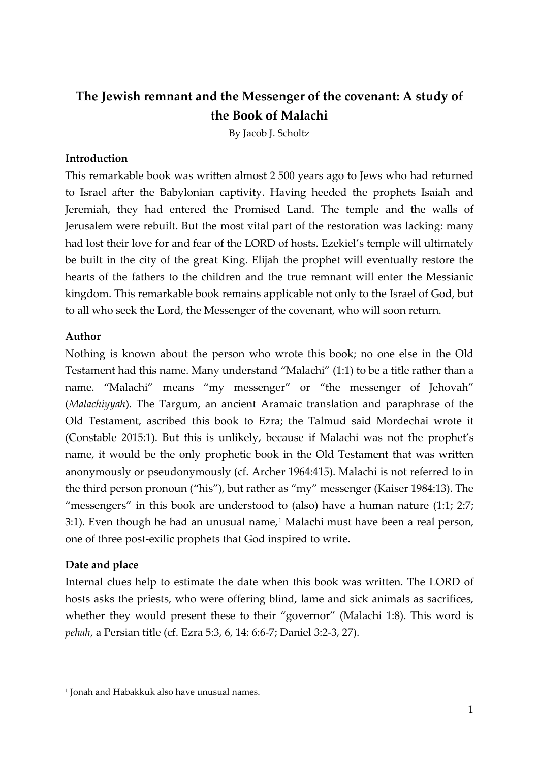# **The Jewish remnant and the Messenger of the covenant: A study of the Book of Malachi**

By Jacob J. Scholtz

#### **Introduction**

This remarkable book was written almost 2 500 years ago to Jews who had returned to Israel after the Babylonian captivity. Having heeded the prophets Isaiah and Jeremiah, they had entered the Promised Land. The temple and the walls of Jerusalem were rebuilt. But the most vital part of the restoration was lacking: many had lost their love for and fear of the LORD of hosts. Ezekiel's temple will ultimately be built in the city of the great King. Elijah the prophet will eventually restore the hearts of the fathers to the children and the true remnant will enter the Messianic kingdom. This remarkable book remains applicable not only to the Israel of God, but to all who seek the Lord, the Messenger of the covenant, who will soon return.

#### **Author**

Nothing is known about the person who wrote this book; no one else in the Old Testament had this name. Many understand "Malachi" (1:1) to be a title rather than a name. "Malachi" means "my messenger" or "the messenger of Jehovah" (*Malachiyyah*). The Targum, an ancient Aramaic translation and paraphrase of the Old Testament, ascribed this book to Ezra; the Talmud said Mordechai wrote it (Constable 2015:1). But this is unlikely, because if Malachi was not the prophet's name, it would be the only prophetic book in the Old Testament that was written anonymously or pseudonymously (cf. Archer 1964:415). Malachi is not referred to in the third person pronoun ("his"), but rather as "my" messenger (Kaiser 1984:13). The "messengers" in this book are understood to (also) have a human nature  $(1:1; 2:7;$ 3:[1](#page-0-0)). Even though he had an unusual name, $1$  Malachi must have been a real person, one of three post-exilic prophets that God inspired to write.

#### **Date and place**

<u>.</u>

Internal clues help to estimate the date when this book was written. The LORD of hosts asks the priests, who were offering blind, lame and sick animals as sacrifices, whether they would present these to their "governor" (Malachi 1:8). This word is *pehah*, a Persian title (cf. Ezra 5:3, 6, 14: 6:6-7; Daniel 3:2-3, 27).

<span id="page-0-0"></span><sup>1</sup> Jonah and Habakkuk also have unusual names.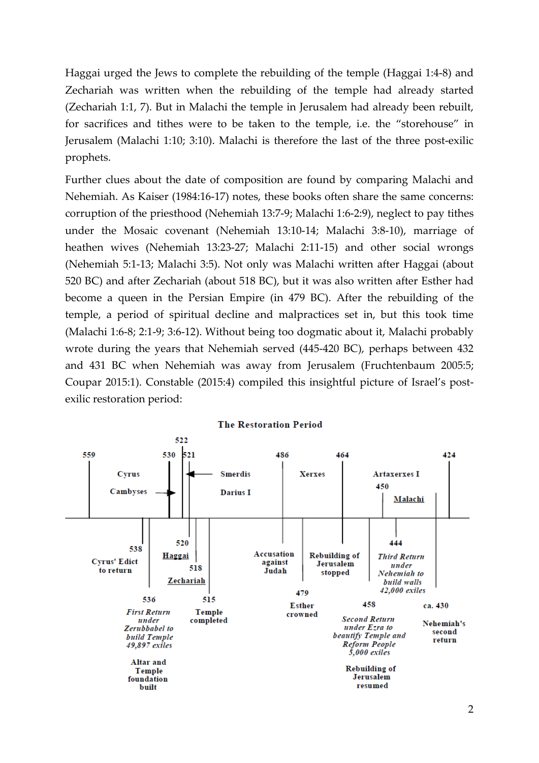Haggai urged the Jews to complete the rebuilding of the temple (Haggai 1:4-8) and Zechariah was written when the rebuilding of the temple had already started (Zechariah 1:1, 7). But in Malachi the temple in Jerusalem had already been rebuilt, for sacrifices and tithes were to be taken to the temple, i.e. the "storehouse" in Jerusalem (Malachi 1:10; 3:10). Malachi is therefore the last of the three post-exilic prophets.

Further clues about the date of composition are found by comparing Malachi and Nehemiah. As Kaiser (1984:16-17) notes, these books often share the same concerns: corruption of the priesthood (Nehemiah 13:7-9; Malachi 1:6-2:9), neglect to pay tithes under the Mosaic covenant (Nehemiah 13:10-14; Malachi 3:8-10), marriage of heathen wives (Nehemiah 13:23-27; Malachi 2:11-15) and other social wrongs (Nehemiah 5:1-13; Malachi 3:5). Not only was Malachi written after Haggai (about 520 BC) and after Zechariah (about 518 BC), but it was also written after Esther had become a queen in the Persian Empire (in 479 BC). After the rebuilding of the temple, a period of spiritual decline and malpractices set in, but this took time (Malachi 1:6-8; 2:1-9; 3:6-12). Without being too dogmatic about it, Malachi probably wrote during the years that Nehemiah served (445-420 BC), perhaps between 432 and 431 BC when Nehemiah was away from Jerusalem (Fruchtenbaum 2005:5; Coupar 2015:1). Constable (2015:4) compiled this insightful picture of Israel's postexilic restoration period:



**The Restoration Period**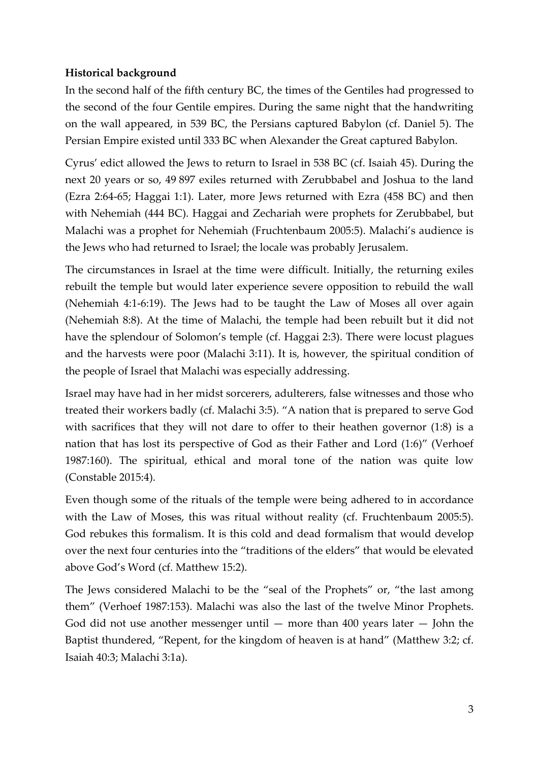# **Historical background**

In the second half of the fifth century BC, the times of the Gentiles had progressed to the second of the four Gentile empires. During the same night that the handwriting on the wall appeared, in 539 BC, the Persians captured Babylon (cf. Daniel 5). The Persian Empire existed until 333 BC when Alexander the Great captured Babylon.

Cyrus' edict allowed the Jews to return to Israel in 538 BC (cf. Isaiah 45). During the next 20 years or so, 49 897 exiles returned with Zerubbabel and Joshua to the land (Ezra 2:64-65; Haggai 1:1). Later, more Jews returned with Ezra (458 BC) and then with Nehemiah (444 BC). Haggai and Zechariah were prophets for Zerubbabel, but Malachi was a prophet for Nehemiah (Fruchtenbaum 2005:5). Malachi's audience is the Jews who had returned to Israel; the locale was probably Jerusalem.

The circumstances in Israel at the time were difficult. Initially, the returning exiles rebuilt the temple but would later experience severe opposition to rebuild the wall (Nehemiah 4:1-6:19). The Jews had to be taught the Law of Moses all over again (Nehemiah 8:8). At the time of Malachi, the temple had been rebuilt but it did not have the splendour of Solomon's temple (cf. Haggai 2:3). There were locust plagues and the harvests were poor (Malachi 3:11). It is, however, the spiritual condition of the people of Israel that Malachi was especially addressing.

Israel may have had in her midst sorcerers, adulterers, false witnesses and those who treated their workers badly (cf. Malachi 3:5). "A nation that is prepared to serve God with sacrifices that they will not dare to offer to their heathen governor (1:8) is a nation that has lost its perspective of God as their Father and Lord (1:6)" (Verhoef 1987:160). The spiritual, ethical and moral tone of the nation was quite low (Constable 2015:4).

Even though some of the rituals of the temple were being adhered to in accordance with the Law of Moses, this was ritual without reality (cf. Fruchtenbaum 2005:5). God rebukes this formalism. It is this cold and dead formalism that would develop over the next four centuries into the "traditions of the elders" that would be elevated above God's Word (cf. Matthew 15:2).

The Jews considered Malachi to be the "seal of the Prophets" or, "the last among them" (Verhoef 1987:153). Malachi was also the last of the twelve Minor Prophets. God did not use another messenger until  $-$  more than 400 years later  $-$  John the Baptist thundered, "Repent, for the kingdom of heaven is at hand" (Matthew 3:2; cf. Isaiah 40:3; Malachi 3:1a).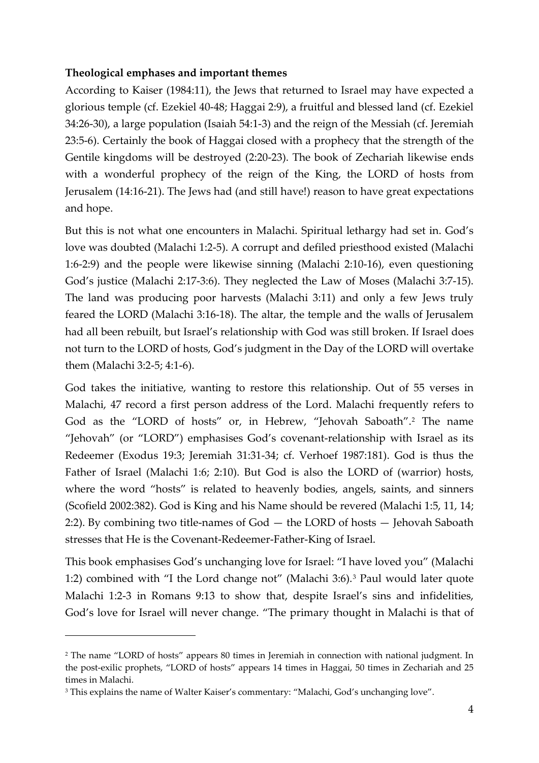# **Theological emphases and important themes**

According to Kaiser (1984:11), the Jews that returned to Israel may have expected a glorious temple (cf. Ezekiel 40-48; Haggai 2:9), a fruitful and blessed land (cf. Ezekiel 34:26-30), a large population (Isaiah 54:1-3) and the reign of the Messiah (cf. Jeremiah 23:5-6). Certainly the book of Haggai closed with a prophecy that the strength of the Gentile kingdoms will be destroyed (2:20-23). The book of Zechariah likewise ends with a wonderful prophecy of the reign of the King, the LORD of hosts from Jerusalem (14:16-21). The Jews had (and still have!) reason to have great expectations and hope.

But this is not what one encounters in Malachi. Spiritual lethargy had set in. God's love was doubted (Malachi 1:2-5). A corrupt and defiled priesthood existed (Malachi 1:6-2:9) and the people were likewise sinning (Malachi 2:10-16), even questioning God's justice (Malachi 2:17-3:6). They neglected the Law of Moses (Malachi 3:7-15). The land was producing poor harvests (Malachi 3:11) and only a few Jews truly feared the LORD (Malachi 3:16-18). The altar, the temple and the walls of Jerusalem had all been rebuilt, but Israel's relationship with God was still broken. If Israel does not turn to the LORD of hosts, God's judgment in the Day of the LORD will overtake them (Malachi 3:2-5; 4:1-6).

God takes the initiative, wanting to restore this relationship. Out of 55 verses in Malachi, 47 record a first person address of the Lord. Malachi frequently refers to God as the "LORD of hosts" or, in Hebrew, "Jehovah Saboath".[2](#page-3-0) The name "Jehovah" (or "LORD") emphasises God's covenant-relationship with Israel as its Redeemer (Exodus 19:3; Jeremiah 31:31-34; cf. Verhoef 1987:181). God is thus the Father of Israel (Malachi 1:6; 2:10). But God is also the LORD of (warrior) hosts, where the word "hosts" is related to heavenly bodies, angels, saints, and sinners (Scofield 2002:382). God is King and his Name should be revered (Malachi 1:5, 11, 14; 2:2). By combining two title-names of God — the LORD of hosts — Jehovah Saboath stresses that He is the Covenant-Redeemer-Father-King of Israel.

This book emphasises God's unchanging love for Israel: "I have loved you" (Malachi 1:2) combined with "I the Lord change not" (Malachi 3:6).[3](#page-3-1) Paul would later quote Malachi 1:2-3 in Romans 9:13 to show that, despite Israel's sins and infidelities, God's love for Israel will never change. "The primary thought in Malachi is that of

<span id="page-3-0"></span><sup>2</sup> The name "LORD of hosts" appears 80 times in Jeremiah in connection with national judgment. In the post-exilic prophets, "LORD of hosts" appears 14 times in Haggai, 50 times in Zechariah and 25 times in Malachi.

<span id="page-3-1"></span><sup>&</sup>lt;sup>3</sup> This explains the name of Walter Kaiser's commentary: "Malachi, God's unchanging love".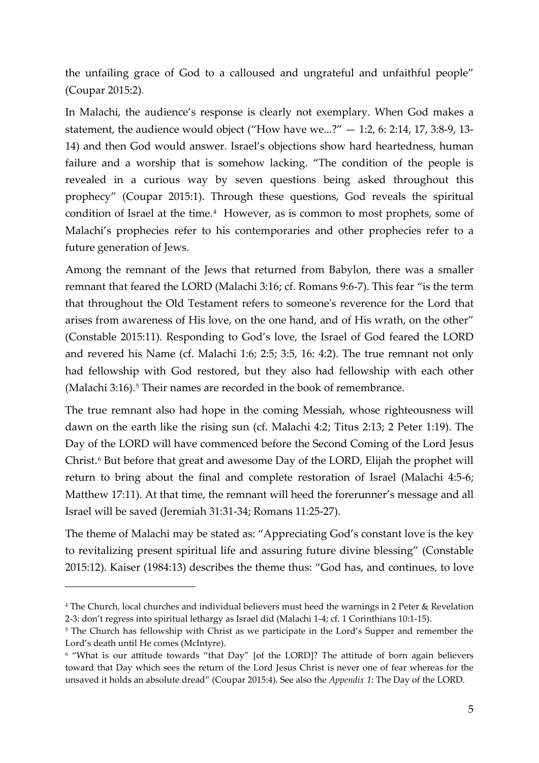the unfailing grace of God to a calloused and ungrateful and unfaithful people" (Coupar 2015:2).

In Malachi, the audience's response is clearly not exemplary. When God makes a statement, the audience would object ("How have we...?"  $-$  1:2, 6: 2:14, 17, 3:8-9, 13-14) and then God would answer. Israel's objections show hard heartedness, human failure and a worship that is somehow lacking. "The condition of the people is revealed in a curious way by seven questions being asked throughout this prophecy" (Coupar 2015:1). Through these questions, God reveals the spiritual condition of Israel at the time.<sup>[4](#page-4-0)</sup> However, as is common to most prophets, some of Malachi's prophecies refer to his contemporaries and other prophecies refer to a future generation of Jews.

Among the remnant of the Jews that returned from Babylon, there was a smaller remnant that feared the LORD (Malachi 3:16; cf. Romans 9:6-7). This fear "is the term that throughout the Old Testament refers to someone's reverence for the Lord that arises from awareness of His love, on the one hand, and of His wrath, on the other" (Constable 2015:11). Responding to God's love, the Israel of God feared the LORD and revered his Name (cf. Malachi 1:6; 2:5; 3:5, 16: 4:2). The true remnant not only had fellowship with God restored, but they also had fellowship with each other (Malachi 3:16).<sup>[5](#page-4-1)</sup> Their names are recorded in the book of remembrance.

The true remnant also had hope in the coming Messiah, whose righteousness will dawn on the earth like the rising sun (cf. Malachi 4:2; Titus 2:13; 2 Peter 1:19). The Day of the LORD will have commenced before the Second Coming of the Lord Jesus Christ.[6](#page-4-2) But before that great and awesome Day of the LORD, Elijah the prophet will return to bring about the final and complete restoration of Israel (Malachi 4:5-6; Matthew 17:11). At that time, the remnant will heed the forerunner's message and all Israel will be saved (Jeremiah 31:31-34; Romans 11:25-27).

The theme of Malachi may be stated as: "Appreciating God's constant love is the key to revitalizing present spiritual life and assuring future divine blessing" (Constable 2015:12). Kaiser (1984:13) describes the theme thus: "God has, and continues, to love

<span id="page-4-0"></span><sup>4</sup> The Church, local churches and individual believers must heed the warnings in 2 Peter & Revelation 2-3: don't regress into spiritual lethargy as Israel did (Malachi 1-4; cf. 1 Corinthians 10:1-15).

<span id="page-4-1"></span><sup>&</sup>lt;sup>5</sup> The Church has fellowship with Christ as we participate in the Lord's Supper and remember the Lord's death until He comes (McIntyre).

<span id="page-4-2"></span><sup>6</sup> "What is our attitude towards "that Day" [of the LORD]? The attitude of born again believers toward that Day which sees the return of the Lord Jesus Christ is never one of fear whereas for the unsaved it holds an absolute dread" (Coupar 2015:4). See also the *Appendix 1*: The Day of the LORD.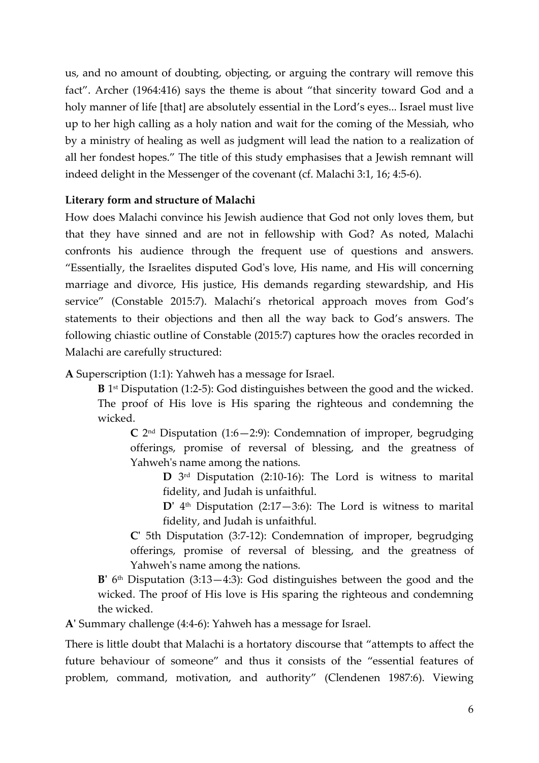us, and no amount of doubting, objecting, or arguing the contrary will remove this fact". Archer (1964:416) says the theme is about "that sincerity toward God and a holy manner of life [that] are absolutely essential in the Lord's eyes... Israel must live up to her high calling as a holy nation and wait for the coming of the Messiah, who by a ministry of healing as well as judgment will lead the nation to a realization of all her fondest hopes." The title of this study emphasises that a Jewish remnant will indeed delight in the Messenger of the covenant (cf. Malachi 3:1, 16; 4:5-6).

# **Literary form and structure of Malachi**

How does Malachi convince his Jewish audience that God not only loves them, but that they have sinned and are not in fellowship with God? As noted, Malachi confronts his audience through the frequent use of questions and answers. "Essentially, the Israelites disputed God's love, His name, and His will concerning marriage and divorce, His justice, His demands regarding stewardship, and His service" (Constable 2015:7). Malachi's rhetorical approach moves from God's statements to their objections and then all the way back to God's answers. The following chiastic outline of Constable (2015:7) captures how the oracles recorded in Malachi are carefully structured:

**A** Superscription (1:1): Yahweh has a message for Israel.

**B** 1st Disputation (1:2-5): God distinguishes between the good and the wicked. The proof of His love is His sparing the righteous and condemning the wicked.

**C** 2nd Disputation (1:6—2:9): Condemnation of improper, begrudging offerings, promise of reversal of blessing, and the greatness of Yahweh's name among the nations.

**D** 3rd Disputation (2:10-16): The Lord is witness to marital fidelity, and Judah is unfaithful.

 $D'$  4<sup>th</sup> Disputation (2:17-3:6): The Lord is witness to marital fidelity, and Judah is unfaithful.

**C'** 5th Disputation (3:7-12): Condemnation of improper, begrudging offerings, promise of reversal of blessing, and the greatness of Yahweh's name among the nations.

**B'** 6th Disputation (3:13—4:3): God distinguishes between the good and the wicked. The proof of His love is His sparing the righteous and condemning the wicked.

**A'** Summary challenge (4:4-6): Yahweh has a message for Israel.

There is little doubt that Malachi is a hortatory discourse that "attempts to affect the future behaviour of someone" and thus it consists of the "essential features of problem, command, motivation, and authority" (Clendenen 1987:6). Viewing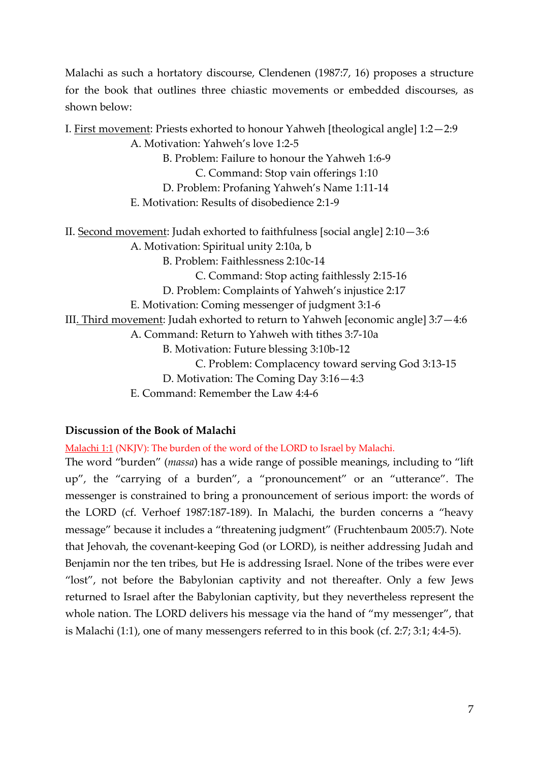Malachi as such a hortatory discourse, Clendenen (1987:7, 16) proposes a structure for the book that outlines three chiastic movements or embedded discourses, as shown below:

| I. First movement: Priests exhorted to honour Yahweh [theological angle] 1:2–2:9          |
|-------------------------------------------------------------------------------------------|
| A. Motivation: Yahweh's love 1:2-5                                                        |
| B. Problem: Failure to honour the Yahweh 1:6-9                                            |
| C. Command: Stop vain offerings 1:10                                                      |
| D. Problem: Profaning Yahweh's Name 1:11-14                                               |
| E. Motivation: Results of disobedience 2:1-9                                              |
| II. <u>Second movement</u> : Judah exhorted to faithfulness [social angle] 2:10-3:6       |
| A. Motivation: Spiritual unity 2:10a, b                                                   |
| B. Problem: Faithlessness 2:10c-14                                                        |
| C. Command: Stop acting faithlessly 2:15-16                                               |
| D. Problem: Complaints of Yahweh's injustice 2:17                                         |
| E. Motivation: Coming messenger of judgment 3:1-6                                         |
| III <u>. Third movement</u> : Judah exhorted to return to Yahweh [economic angle] 3:7–4:6 |
| A. Command: Return to Yahweh with tithes 3:7-10a                                          |
| B. Motivation: Future blessing 3:10b-12                                                   |
| C. Problem: Complacency toward serving God 3:13-15                                        |
| D. Motivation: The Coming Day 3:16–4:3                                                    |
| E. Command: Remember the Law 4:4-6                                                        |
|                                                                                           |

#### **Discussion of the Book of Malachi**

Malachi 1:1 (NKJV): The burden of the word of the LORD to Israel by Malachi.

The word "burden" (*massa*) has a wide range of possible meanings, including to "lift up", the "carrying of a burden", a "pronouncement" or an "utterance". The messenger is constrained to bring a pronouncement of serious import: the words of the LORD (cf. Verhoef 1987:187-189). In Malachi, the burden concerns a "heavy message" because it includes a "threatening judgment" (Fruchtenbaum 2005:7). Note that Jehovah, the covenant-keeping God (or LORD), is neither addressing Judah and Benjamin nor the ten tribes, but He is addressing Israel. None of the tribes were ever "lost", not before the Babylonian captivity and not thereafter. Only a few Jews returned to Israel after the Babylonian captivity, but they nevertheless represent the whole nation. The LORD delivers his message via the hand of "my messenger", that is Malachi (1:1), one of many messengers referred to in this book (cf. 2:7; 3:1; 4:4-5).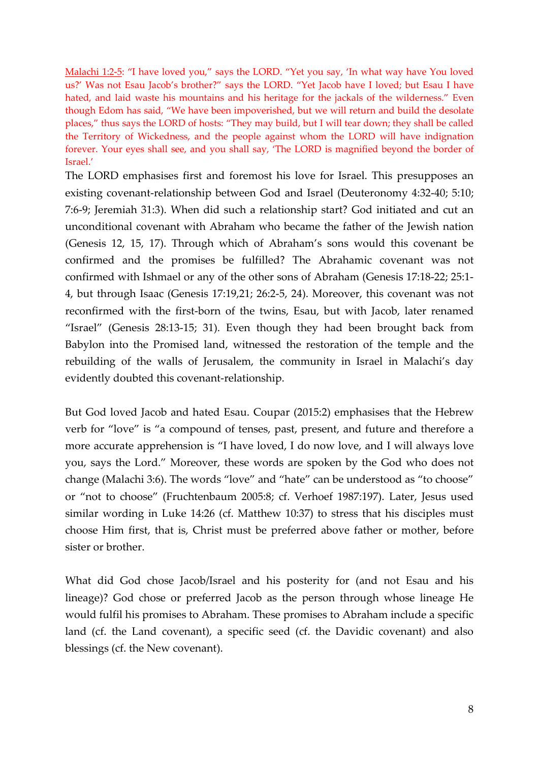Malachi 1:2-5: "I have loved you," says the LORD. "Yet you say, 'In what way have You loved us?' Was not Esau Jacob's brother?" says the LORD. "Yet Jacob have I loved; but Esau I have hated, and laid waste his mountains and his heritage for the jackals of the wilderness." Even though Edom has said, "We have been impoverished, but we will return and build the desolate places," thus says the LORD of hosts: "They may build, but I will tear down; they shall be called the Territory of Wickedness, and the people against whom the LORD will have indignation forever. Your eyes shall see, and you shall say, 'The LORD is magnified beyond the border of Israel.'

The LORD emphasises first and foremost his love for Israel. This presupposes an existing covenant-relationship between God and Israel (Deuteronomy 4:32-40; 5:10; 7:6-9; Jeremiah 31:3). When did such a relationship start? God initiated and cut an unconditional covenant with Abraham who became the father of the Jewish nation (Genesis 12, 15, 17). Through which of Abraham's sons would this covenant be confirmed and the promises be fulfilled? The Abrahamic covenant was not confirmed with Ishmael or any of the other sons of Abraham (Genesis 17:18-22; 25:1- 4, but through Isaac (Genesis 17:19,21; 26:2-5, 24). Moreover, this covenant was not reconfirmed with the first-born of the twins, Esau, but with Jacob, later renamed "Israel" (Genesis 28:13-15; 31). Even though they had been brought back from Babylon into the Promised land, witnessed the restoration of the temple and the rebuilding of the walls of Jerusalem, the community in Israel in Malachi's day evidently doubted this covenant-relationship.

But God loved Jacob and hated Esau. Coupar (2015:2) emphasises that the Hebrew verb for "love" is "a compound of tenses, past, present, and future and therefore a more accurate apprehension is "I have loved, I do now love, and I will always love you, says the Lord." Moreover, these words are spoken by the God who does not change (Malachi 3:6). The words "love" and "hate" can be understood as "to choose" or "not to choose" (Fruchtenbaum 2005:8; cf. Verhoef 1987:197). Later, Jesus used similar wording in Luke 14:26 (cf. Matthew 10:37) to stress that his disciples must choose Him first, that is, Christ must be preferred above father or mother, before sister or brother.

What did God chose Jacob/Israel and his posterity for (and not Esau and his lineage)? God chose or preferred Jacob as the person through whose lineage He would fulfil his promises to Abraham. These promises to Abraham include a specific land (cf. the Land covenant), a specific seed (cf. the Davidic covenant) and also blessings (cf. the New covenant).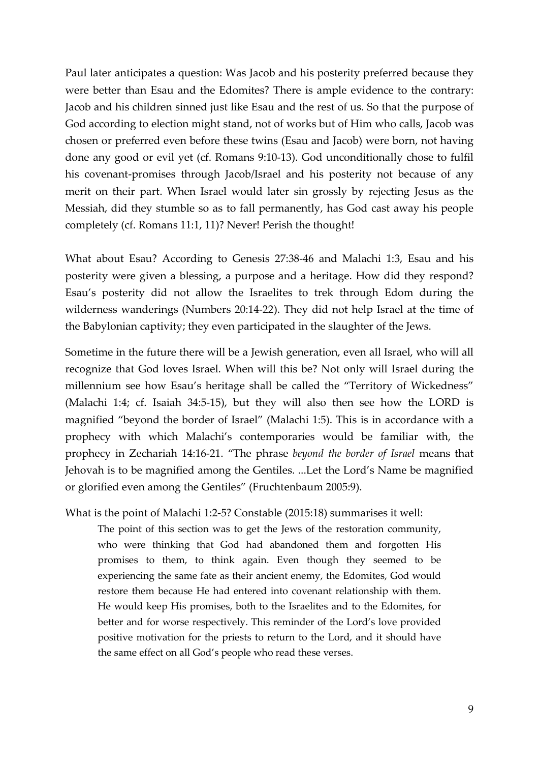Paul later anticipates a question: Was Jacob and his posterity preferred because they were better than Esau and the Edomites? There is ample evidence to the contrary: Jacob and his children sinned just like Esau and the rest of us. So that the purpose of God according to election might stand, not of works but of Him who calls, Jacob was chosen or preferred even before these twins (Esau and Jacob) were born, not having done any good or evil yet (cf. Romans 9:10-13). God unconditionally chose to fulfil his covenant-promises through Jacob/Israel and his posterity not because of any merit on their part. When Israel would later sin grossly by rejecting Jesus as the Messiah, did they stumble so as to fall permanently, has God cast away his people completely (cf. Romans 11:1, 11)? Never! Perish the thought!

What about Esau? According to Genesis 27:38-46 and Malachi 1:3, Esau and his posterity were given a blessing, a purpose and a heritage. How did they respond? Esau's posterity did not allow the Israelites to trek through Edom during the wilderness wanderings (Numbers 20:14-22). They did not help Israel at the time of the Babylonian captivity; they even participated in the slaughter of the Jews.

Sometime in the future there will be a Jewish generation, even all Israel, who will all recognize that God loves Israel. When will this be? Not only will Israel during the millennium see how Esau's heritage shall be called the "Territory of Wickedness" (Malachi 1:4; cf. Isaiah 34:5-15), but they will also then see how the LORD is magnified "beyond the border of Israel" (Malachi 1:5). This is in accordance with a prophecy with which Malachi's contemporaries would be familiar with, the prophecy in Zechariah 14:16-21. "The phrase *beyond the border of Israel* means that Jehovah is to be magnified among the Gentiles. ...Let the Lord's Name be magnified or glorified even among the Gentiles" (Fruchtenbaum 2005:9).

What is the point of Malachi 1:2-5? Constable (2015:18) summarises it well:

The point of this section was to get the Jews of the restoration community, who were thinking that God had abandoned them and forgotten His promises to them, to think again. Even though they seemed to be experiencing the same fate as their ancient enemy, the Edomites, God would restore them because He had entered into covenant relationship with them. He would keep His promises, both to the Israelites and to the Edomites, for better and for worse respectively. This reminder of the Lord's love provided positive motivation for the priests to return to the Lord, and it should have the same effect on all God's people who read these verses.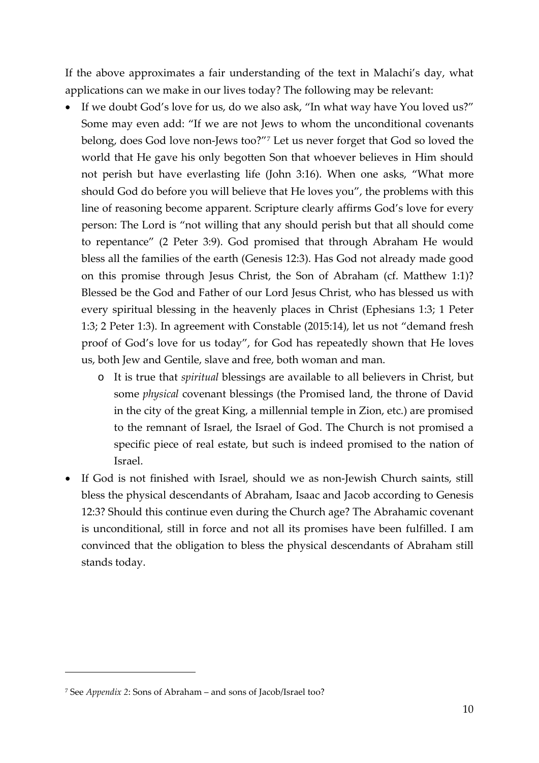If the above approximates a fair understanding of the text in Malachi's day, what applications can we make in our lives today? The following may be relevant:

- If we doubt God's love for us, do we also ask, "In what way have You loved us?" Some may even add: "If we are not Jews to whom the unconditional covenants belong, does God love non-Jews too?"[7](#page-9-0) Let us never forget that God so loved the world that He gave his only begotten Son that whoever believes in Him should not perish but have everlasting life (John 3:16). When one asks, "What more should God do before you will believe that He loves you", the problems with this line of reasoning become apparent. Scripture clearly affirms God's love for every person: The Lord is "not willing that any should perish but that all should come to repentance" (2 Peter 3:9). God promised that through Abraham He would bless all the families of the earth (Genesis 12:3). Has God not already made good on this promise through Jesus Christ, the Son of Abraham (cf. Matthew 1:1)? Blessed be the God and Father of our Lord Jesus Christ, who has blessed us with every spiritual blessing in the heavenly places in Christ (Ephesians 1:3; 1 Peter 1:3; 2 Peter 1:3). In agreement with Constable (2015:14), let us not "demand fresh proof of God's love for us today", for God has repeatedly shown that He loves us, both Jew and Gentile, slave and free, both woman and man.
	- o It is true that *spiritual* blessings are available to all believers in Christ, but some *physical* covenant blessings (the Promised land, the throne of David in the city of the great King, a millennial temple in Zion, etc.) are promised to the remnant of Israel, the Israel of God. The Church is not promised a specific piece of real estate, but such is indeed promised to the nation of Israel.
- If God is not finished with Israel, should we as non-Jewish Church saints, still bless the physical descendants of Abraham, Isaac and Jacob according to Genesis 12:3? Should this continue even during the Church age? The Abrahamic covenant is unconditional, still in force and not all its promises have been fulfilled. I am convinced that the obligation to bless the physical descendants of Abraham still stands today.

<span id="page-9-0"></span><sup>7</sup> See *Appendix 2*: Sons of Abraham – and sons of Jacob/Israel too?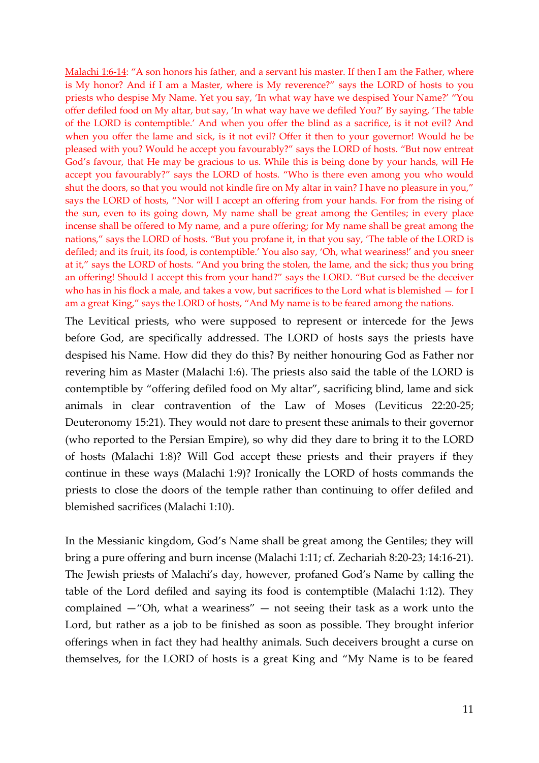Malachi 1:6-14: "A son honors his father, and a servant his master. If then I am the Father, where is My honor? And if I am a Master, where is My reverence?" says the LORD of hosts to you priests who despise My Name. Yet you say, 'In what way have we despised Your Name?' "You offer defiled food on My altar, but say, 'In what way have we defiled You?' By saying, 'The table of the LORD is contemptible.' And when you offer the blind as a sacrifice, is it not evil? And when you offer the lame and sick, is it not evil? Offer it then to your governor! Would he be pleased with you? Would he accept you favourably?" says the LORD of hosts. "But now entreat God's favour, that He may be gracious to us. While this is being done by your hands, will He accept you favourably?" says the LORD of hosts. "Who is there even among you who would shut the doors, so that you would not kindle fire on My altar in vain? I have no pleasure in you," says the LORD of hosts, "Nor will I accept an offering from your hands. For from the rising of the sun, even to its going down, My name shall be great among the Gentiles; in every place incense shall be offered to My name, and a pure offering; for My name shall be great among the nations," says the LORD of hosts. "But you profane it, in that you say, 'The table of the LORD is defiled; and its fruit, its food, is contemptible.' You also say, 'Oh, what weariness!' and you sneer at it," says the LORD of hosts. "And you bring the stolen, the lame, and the sick; thus you bring an offering! Should I accept this from your hand?" says the LORD. "But cursed be the deceiver who has in his flock a male, and takes a vow, but sacrifices to the Lord what is blemished — for I am a great King," says the LORD of hosts, "And My name is to be feared among the nations.

The Levitical priests, who were supposed to represent or intercede for the Jews before God, are specifically addressed. The LORD of hosts says the priests have despised his Name. How did they do this? By neither honouring God as Father nor revering him as Master (Malachi 1:6). The priests also said the table of the LORD is contemptible by "offering defiled food on My altar", sacrificing blind, lame and sick animals in clear contravention of the Law of Moses (Leviticus 22:20-25; Deuteronomy 15:21). They would not dare to present these animals to their governor (who reported to the Persian Empire), so why did they dare to bring it to the LORD of hosts (Malachi 1:8)? Will God accept these priests and their prayers if they continue in these ways (Malachi 1:9)? Ironically the LORD of hosts commands the priests to close the doors of the temple rather than continuing to offer defiled and blemished sacrifices (Malachi 1:10).

In the Messianic kingdom, God's Name shall be great among the Gentiles; they will bring a pure offering and burn incense (Malachi 1:11; cf. Zechariah 8:20-23; 14:16-21). The Jewish priests of Malachi's day, however, profaned God's Name by calling the table of the Lord defiled and saying its food is contemptible (Malachi 1:12). They complained —"Oh, what a weariness" — not seeing their task as a work unto the Lord, but rather as a job to be finished as soon as possible. They brought inferior offerings when in fact they had healthy animals. Such deceivers brought a curse on themselves, for the LORD of hosts is a great King and "My Name is to be feared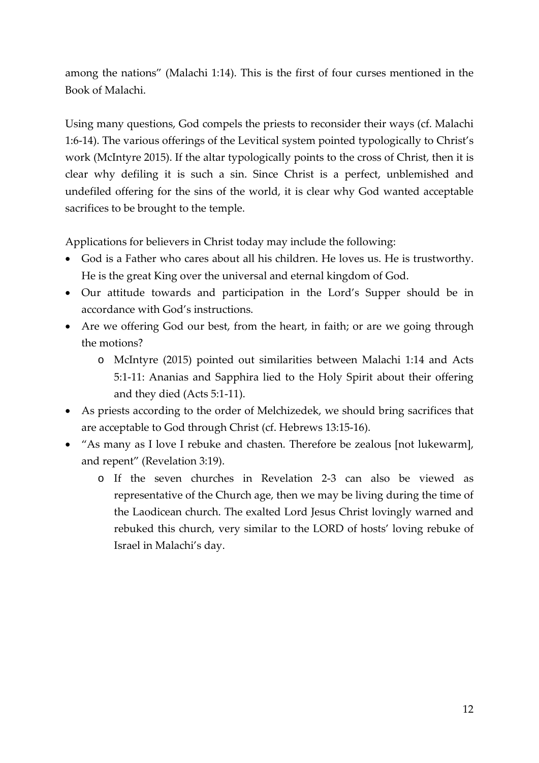among the nations" (Malachi 1:14). This is the first of four curses mentioned in the Book of Malachi.

Using many questions, God compels the priests to reconsider their ways (cf. Malachi 1:6-14). The various offerings of the Levitical system pointed typologically to Christ's work (McIntyre 2015). If the altar typologically points to the cross of Christ, then it is clear why defiling it is such a sin. Since Christ is a perfect, unblemished and undefiled offering for the sins of the world, it is clear why God wanted acceptable sacrifices to be brought to the temple.

Applications for believers in Christ today may include the following:

- God is a Father who cares about all his children. He loves us. He is trustworthy. He is the great King over the universal and eternal kingdom of God.
- Our attitude towards and participation in the Lord's Supper should be in accordance with God's instructions.
- Are we offering God our best, from the heart, in faith; or are we going through the motions?
	- o McIntyre (2015) pointed out similarities between Malachi 1:14 and Acts 5:1-11: Ananias and Sapphira lied to the Holy Spirit about their offering and they died (Acts 5:1-11).
- As priests according to the order of Melchizedek, we should bring sacrifices that are acceptable to God through Christ (cf. Hebrews 13:15-16).
- "As many as I love I rebuke and chasten. Therefore be zealous [not lukewarm], and repent" (Revelation 3:19).
	- o If the seven churches in Revelation 2-3 can also be viewed as representative of the Church age, then we may be living during the time of the Laodicean church. The exalted Lord Jesus Christ lovingly warned and rebuked this church, very similar to the LORD of hosts' loving rebuke of Israel in Malachi's day.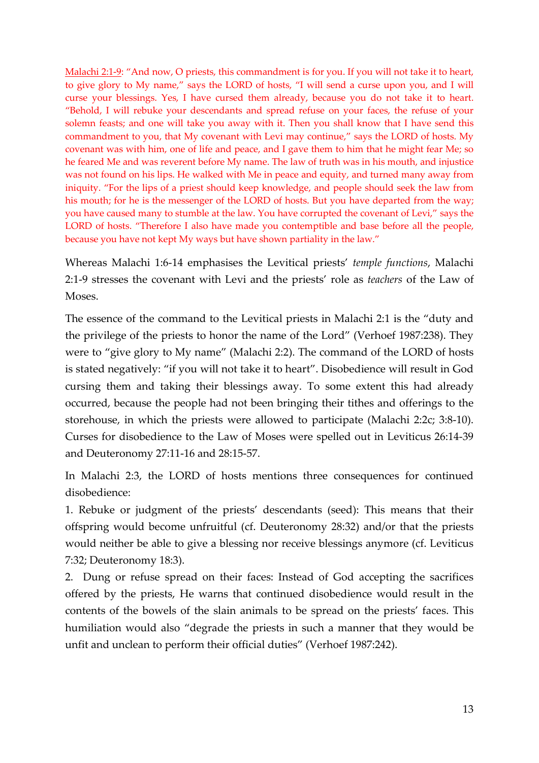Malachi 2:1-9: "And now, O priests, this commandment is for you. If you will not take it to heart, to give glory to My name," says the LORD of hosts, "I will send a curse upon you, and I will curse your blessings. Yes, I have cursed them already, because you do not take it to heart. "Behold, I will rebuke your descendants and spread refuse on your faces, the refuse of your solemn feasts; and one will take you away with it. Then you shall know that I have send this commandment to you, that My covenant with Levi may continue," says the LORD of hosts. My covenant was with him, one of life and peace, and I gave them to him that he might fear Me; so he feared Me and was reverent before My name. The law of truth was in his mouth, and injustice was not found on his lips. He walked with Me in peace and equity, and turned many away from iniquity. "For the lips of a priest should keep knowledge, and people should seek the law from his mouth; for he is the messenger of the LORD of hosts. But you have departed from the way; you have caused many to stumble at the law. You have corrupted the covenant of Levi," says the LORD of hosts. "Therefore I also have made you contemptible and base before all the people, because you have not kept My ways but have shown partiality in the law."

Whereas Malachi 1:6-14 emphasises the Levitical priests' *temple functions*, Malachi 2:1-9 stresses the covenant with Levi and the priests' role as *teachers* of the Law of Moses.

The essence of the command to the Levitical priests in Malachi 2:1 is the "duty and the privilege of the priests to honor the name of the Lord" (Verhoef 1987:238). They were to "give glory to My name" (Malachi 2:2). The command of the LORD of hosts is stated negatively: "if you will not take it to heart". Disobedience will result in God cursing them and taking their blessings away. To some extent this had already occurred, because the people had not been bringing their tithes and offerings to the storehouse, in which the priests were allowed to participate (Malachi 2:2c; 3:8-10). Curses for disobedience to the Law of Moses were spelled out in Leviticus 26:14-39 and Deuteronomy 27:11-16 and 28:15-57.

In Malachi 2:3, the LORD of hosts mentions three consequences for continued disobedience:

1. Rebuke or judgment of the priests' descendants (seed): This means that their offspring would become unfruitful (cf. Deuteronomy 28:32) and/or that the priests would neither be able to give a blessing nor receive blessings anymore (cf. Leviticus 7:32; Deuteronomy 18:3).

2. Dung or refuse spread on their faces: Instead of God accepting the sacrifices offered by the priests, He warns that continued disobedience would result in the contents of the bowels of the slain animals to be spread on the priests' faces. This humiliation would also "degrade the priests in such a manner that they would be unfit and unclean to perform their official duties" (Verhoef 1987:242).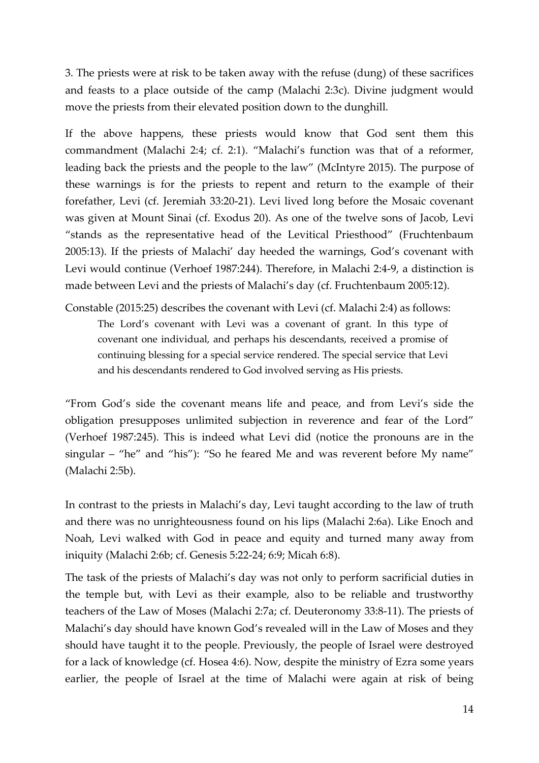3. The priests were at risk to be taken away with the refuse (dung) of these sacrifices and feasts to a place outside of the camp (Malachi 2:3c). Divine judgment would move the priests from their elevated position down to the dunghill.

If the above happens, these priests would know that God sent them this commandment (Malachi 2:4; cf. 2:1). "Malachi's function was that of a reformer, leading back the priests and the people to the law" (McIntyre 2015). The purpose of these warnings is for the priests to repent and return to the example of their forefather, Levi (cf. Jeremiah 33:20-21). Levi lived long before the Mosaic covenant was given at Mount Sinai (cf. Exodus 20). As one of the twelve sons of Jacob, Levi "stands as the representative head of the Levitical Priesthood" (Fruchtenbaum 2005:13). If the priests of Malachi' day heeded the warnings, God's covenant with Levi would continue (Verhoef 1987:244). Therefore, in Malachi 2:4-9, a distinction is made between Levi and the priests of Malachi's day (cf. Fruchtenbaum 2005:12).

Constable (2015:25) describes the covenant with Levi (cf. Malachi 2:4) as follows: The Lord's covenant with Levi was a covenant of grant. In this type of covenant one individual, and perhaps his descendants, received a promise of continuing blessing for a special service rendered. The special service that Levi and his descendants rendered to God involved serving as His priests.

"From God's side the covenant means life and peace, and from Levi's side the obligation presupposes unlimited subjection in reverence and fear of the Lord" (Verhoef 1987:245). This is indeed what Levi did (notice the pronouns are in the singular – "he" and "his"): "So he feared Me and was reverent before My name" (Malachi 2:5b).

In contrast to the priests in Malachi's day, Levi taught according to the law of truth and there was no unrighteousness found on his lips (Malachi 2:6a). Like Enoch and Noah, Levi walked with God in peace and equity and turned many away from iniquity (Malachi 2:6b; cf. Genesis 5:22-24; 6:9; Micah 6:8).

The task of the priests of Malachi's day was not only to perform sacrificial duties in the temple but, with Levi as their example, also to be reliable and trustworthy teachers of the Law of Moses (Malachi 2:7a; cf. Deuteronomy 33:8-11). The priests of Malachi's day should have known God's revealed will in the Law of Moses and they should have taught it to the people. Previously, the people of Israel were destroyed for a lack of knowledge (cf. Hosea 4:6). Now, despite the ministry of Ezra some years earlier, the people of Israel at the time of Malachi were again at risk of being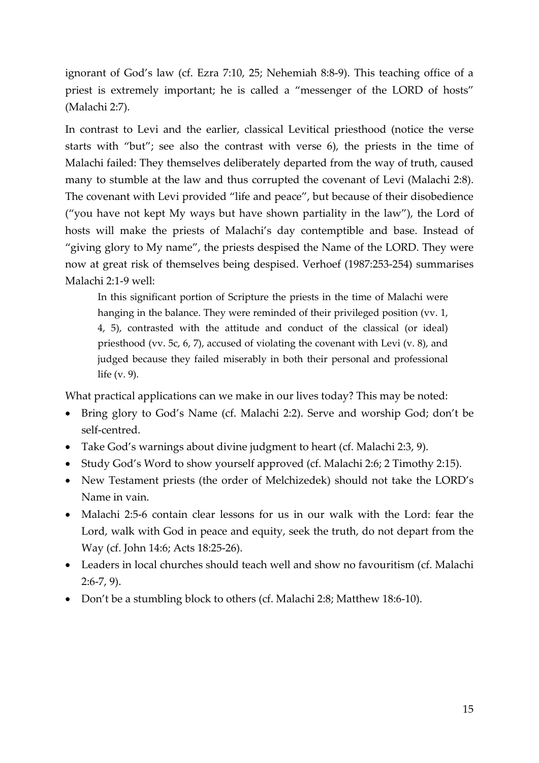ignorant of God's law (cf. Ezra 7:10, 25; Nehemiah 8:8-9). This teaching office of a priest is extremely important; he is called a "messenger of the LORD of hosts" (Malachi 2:7).

In contrast to Levi and the earlier, classical Levitical priesthood (notice the verse starts with "but"; see also the contrast with verse 6), the priests in the time of Malachi failed: They themselves deliberately departed from the way of truth, caused many to stumble at the law and thus corrupted the covenant of Levi (Malachi 2:8). The covenant with Levi provided "life and peace", but because of their disobedience ("you have not kept My ways but have shown partiality in the law"), the Lord of hosts will make the priests of Malachi's day contemptible and base. Instead of "giving glory to My name", the priests despised the Name of the LORD. They were now at great risk of themselves being despised. Verhoef (1987:253-254) summarises Malachi 2:1-9 well:

In this significant portion of Scripture the priests in the time of Malachi were hanging in the balance. They were reminded of their privileged position (vv. 1, 4, 5), contrasted with the attitude and conduct of the classical (or ideal) priesthood (vv. 5c, 6, 7), accused of violating the covenant with Levi (v. 8), and judged because they failed miserably in both their personal and professional life (v. 9).

What practical applications can we make in our lives today? This may be noted:

- Bring glory to God's Name (cf. Malachi 2:2). Serve and worship God; don't be self-centred.
- Take God's warnings about divine judgment to heart (cf. Malachi 2:3, 9).
- Study God's Word to show yourself approved (cf. Malachi 2:6; 2 Timothy 2:15).
- New Testament priests (the order of Melchizedek) should not take the LORD's Name in vain.
- Malachi 2:5-6 contain clear lessons for us in our walk with the Lord: fear the Lord, walk with God in peace and equity, seek the truth, do not depart from the Way (cf. John 14:6; Acts 18:25-26).
- Leaders in local churches should teach well and show no favouritism (cf. Malachi 2:6-7, 9).
- Don't be a stumbling block to others (cf. Malachi 2:8; Matthew 18:6-10).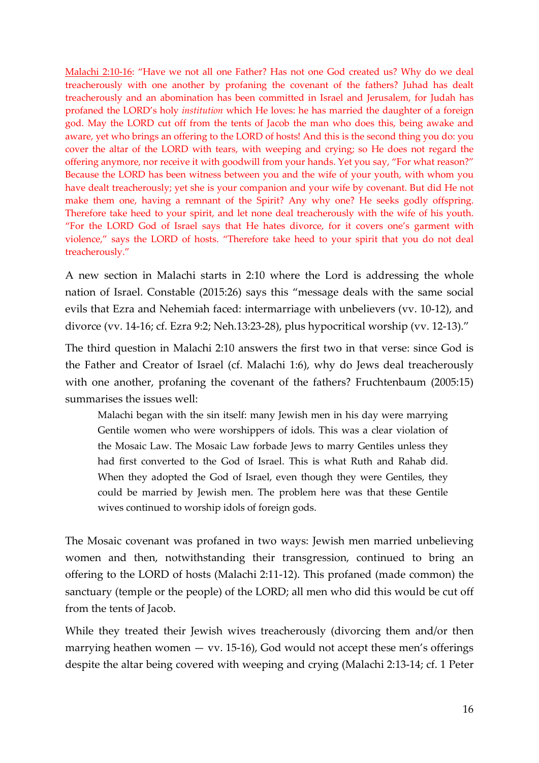Malachi 2:10-16: "Have we not all one Father? Has not one God created us? Why do we deal treacherously with one another by profaning the covenant of the fathers? Juhad has dealt treacherously and an abomination has been committed in Israel and Jerusalem, for Judah has profaned the LORD's holy *institution* which He loves: he has married the daughter of a foreign god. May the LORD cut off from the tents of Jacob the man who does this, being awake and aware, yet who brings an offering to the LORD of hosts! And this is the second thing you do: you cover the altar of the LORD with tears, with weeping and crying; so He does not regard the offering anymore, nor receive it with goodwill from your hands. Yet you say, "For what reason?" Because the LORD has been witness between you and the wife of your youth, with whom you have dealt treacherously; yet she is your companion and your wife by covenant. But did He not make them one, having a remnant of the Spirit? Any why one? He seeks godly offspring. Therefore take heed to your spirit, and let none deal treacherously with the wife of his youth. "For the LORD God of Israel says that He hates divorce, for it covers one's garment with violence," says the LORD of hosts. "Therefore take heed to your spirit that you do not deal treacherously."

A new section in Malachi starts in 2:10 where the Lord is addressing the whole nation of Israel. Constable (2015:26) says this "message deals with the same social evils that Ezra and Nehemiah faced: intermarriage with unbelievers (vv. 10-12), and divorce (vv. 14-16; cf. Ezra 9:2; Neh.13:23-28), plus hypocritical worship (vv. 12-13)."

The third question in Malachi 2:10 answers the first two in that verse: since God is the Father and Creator of Israel (cf. Malachi 1:6), why do Jews deal treacherously with one another, profaning the covenant of the fathers? Fruchtenbaum (2005:15) summarises the issues well:

Malachi began with the sin itself: many Jewish men in his day were marrying Gentile women who were worshippers of idols. This was a clear violation of the Mosaic Law. The Mosaic Law forbade Jews to marry Gentiles unless they had first converted to the God of Israel. This is what Ruth and Rahab did. When they adopted the God of Israel, even though they were Gentiles, they could be married by Jewish men. The problem here was that these Gentile wives continued to worship idols of foreign gods.

The Mosaic covenant was profaned in two ways: Jewish men married unbelieving women and then, notwithstanding their transgression, continued to bring an offering to the LORD of hosts (Malachi 2:11-12). This profaned (made common) the sanctuary (temple or the people) of the LORD; all men who did this would be cut off from the tents of Jacob.

While they treated their Jewish wives treacherously (divorcing them and/or then marrying heathen women  $-$  vv. 15-16), God would not accept these men's offerings despite the altar being covered with weeping and crying (Malachi 2:13-14; cf. 1 Peter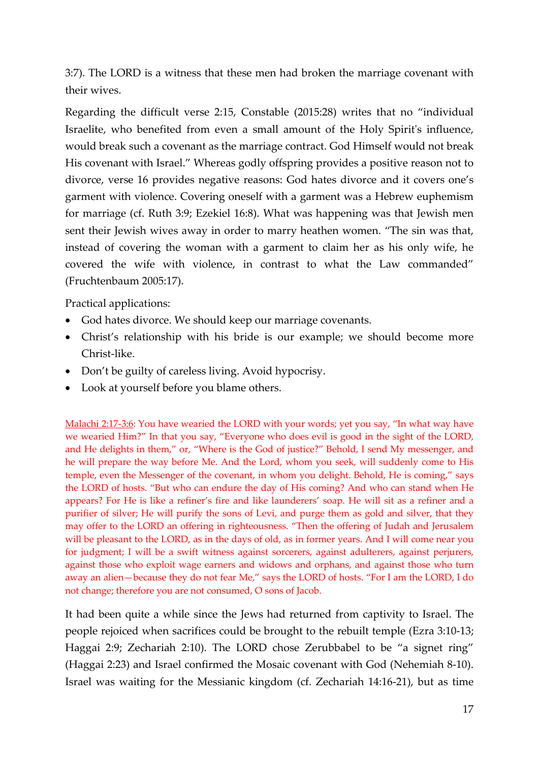3:7). The LORD is a witness that these men had broken the marriage covenant with their wives.

Regarding the difficult verse 2:15, Constable (2015:28) writes that no "individual Israelite, who benefited from even a small amount of the Holy Spirit's influence, would break such a covenant as the marriage contract. God Himself would not break His covenant with Israel." Whereas godly offspring provides a positive reason not to divorce, verse 16 provides negative reasons: God hates divorce and it covers one's garment with violence. Covering oneself with a garment was a Hebrew euphemism for marriage (cf. Ruth 3:9; Ezekiel 16:8). What was happening was that Jewish men sent their Jewish wives away in order to marry heathen women. "The sin was that, instead of covering the woman with a garment to claim her as his only wife, he covered the wife with violence, in contrast to what the Law commanded" (Fruchtenbaum 2005:17).

Practical applications:

- God hates divorce. We should keep our marriage covenants.
- Christ's relationship with his bride is our example; we should become more Christ-like.
- Don't be guilty of careless living. Avoid hypocrisy.
- Look at yourself before you blame others.

Malachi 2:17-3:6: You have wearied the LORD with your words; yet you say, "In what way have we wearied Him?" In that you say, "Everyone who does evil is good in the sight of the LORD, and He delights in them," or, "Where is the God of justice?" Behold, I send My messenger, and he will prepare the way before Me. And the Lord, whom you seek, will suddenly come to His temple, even the Messenger of the covenant, in whom you delight. Behold, He is coming," says the LORD of hosts. "But who can endure the day of His coming? And who can stand when He appears? For He is like a refiner's fire and like launderers' soap. He will sit as a refiner and a purifier of silver; He will purify the sons of Levi, and purge them as gold and silver, that they may offer to the LORD an offering in righteousness. "Then the offering of Judah and Jerusalem will be pleasant to the LORD, as in the days of old, as in former years. And I will come near you for judgment; I will be a swift witness against sorcerers, against adulterers, against perjurers, against those who exploit wage earners and widows and orphans, and against those who turn away an alien—because they do not fear Me," says the LORD of hosts. "For I am the LORD, I do not change; therefore you are not consumed, O sons of Jacob.

It had been quite a while since the Jews had returned from captivity to Israel. The people rejoiced when sacrifices could be brought to the rebuilt temple (Ezra 3:10-13; Haggai 2:9; Zechariah 2:10). The LORD chose Zerubbabel to be "a signet ring" (Haggai 2:23) and Israel confirmed the Mosaic covenant with God (Nehemiah 8-10). Israel was waiting for the Messianic kingdom (cf. Zechariah 14:16-21), but as time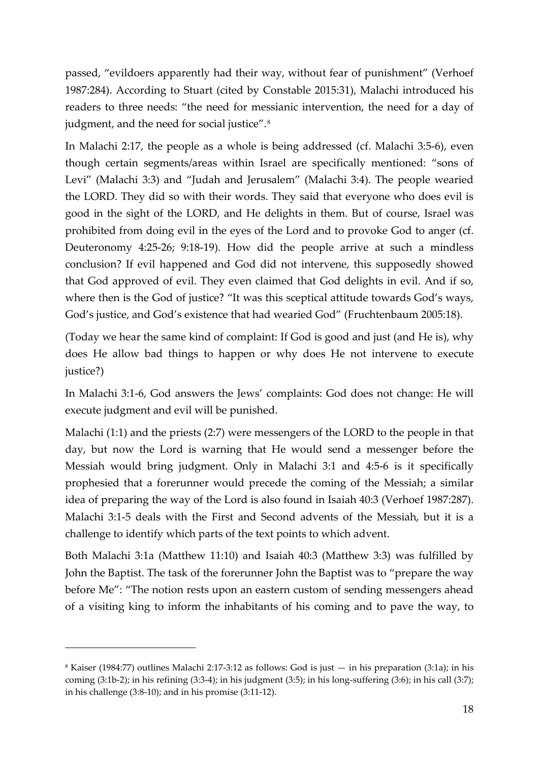passed, "evildoers apparently had their way, without fear of punishment" (Verhoef 1987:284). According to Stuart (cited by Constable 2015:31), Malachi introduced his readers to three needs: "the need for messianic intervention, the need for a day of judgment, and the need for social justice".[8](#page-17-0)

In Malachi 2:17, the people as a whole is being addressed (cf. Malachi 3:5-6), even though certain segments/areas within Israel are specifically mentioned: "sons of Levi" (Malachi 3:3) and "Judah and Jerusalem" (Malachi 3:4). The people wearied the LORD. They did so with their words. They said that everyone who does evil is good in the sight of the LORD, and He delights in them. But of course, Israel was prohibited from doing evil in the eyes of the Lord and to provoke God to anger (cf. Deuteronomy 4:25-26; 9:18-19). How did the people arrive at such a mindless conclusion? If evil happened and God did not intervene, this supposedly showed that God approved of evil. They even claimed that God delights in evil. And if so, where then is the God of justice? "It was this sceptical attitude towards God's ways, God's justice, and God's existence that had wearied God" (Fruchtenbaum 2005:18).

(Today we hear the same kind of complaint: If God is good and just (and He is), why does He allow bad things to happen or why does He not intervene to execute justice?)

In Malachi 3:1-6, God answers the Jews' complaints: God does not change: He will execute judgment and evil will be punished.

Malachi (1:1) and the priests (2:7) were messengers of the LORD to the people in that day, but now the Lord is warning that He would send a messenger before the Messiah would bring judgment. Only in Malachi 3:1 and 4:5-6 is it specifically prophesied that a forerunner would precede the coming of the Messiah; a similar idea of preparing the way of the Lord is also found in Isaiah 40:3 (Verhoef 1987:287). Malachi 3:1-5 deals with the First and Second advents of the Messiah, but it is a challenge to identify which parts of the text points to which advent.

Both Malachi 3:1a (Matthew 11:10) and Isaiah 40:3 (Matthew 3:3) was fulfilled by John the Baptist. The task of the forerunner John the Baptist was to "prepare the way before Me": "The notion rests upon an eastern custom of sending messengers ahead of a visiting king to inform the inhabitants of his coming and to pave the way, to

<span id="page-17-0"></span><sup>8</sup> Kaiser (1984:77) outlines Malachi 2:17-3:12 as follows: God is just — in his preparation (3:1a); in his coming (3:1b-2); in his refining (3:3-4); in his judgment (3:5); in his long-suffering (3:6); in his call (3:7); in his challenge (3:8-10); and in his promise (3:11-12).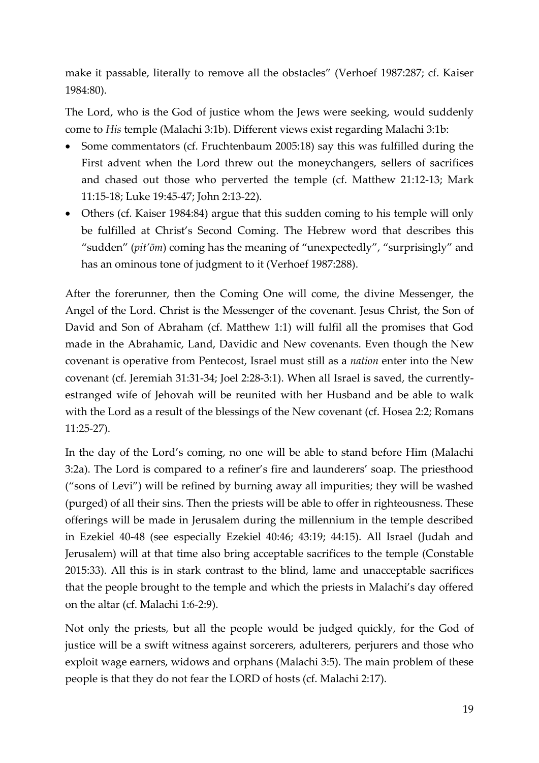make it passable, literally to remove all the obstacles" (Verhoef 1987:287; cf. Kaiser 1984:80).

The Lord, who is the God of justice whom the Jews were seeking, would suddenly come to *His* temple (Malachi 3:1b). Different views exist regarding Malachi 3:1b:

- Some commentators (cf. Fruchtenbaum 2005:18) say this was fulfilled during the First advent when the Lord threw out the moneychangers, sellers of sacrifices and chased out those who perverted the temple (cf. Matthew 21:12-13; Mark 11:15-18; Luke 19:45-47; John 2:13-22).
- Others (cf. Kaiser 1984:84) argue that this sudden coming to his temple will only be fulfilled at Christ's Second Coming. The Hebrew word that describes this "sudden" (*pit'ōm*) coming has the meaning of "unexpectedly", "surprisingly" and has an ominous tone of judgment to it (Verhoef 1987:288).

After the forerunner, then the Coming One will come, the divine Messenger, the Angel of the Lord. Christ is the Messenger of the covenant. Jesus Christ, the Son of David and Son of Abraham (cf. Matthew 1:1) will fulfil all the promises that God made in the Abrahamic, Land, Davidic and New covenants. Even though the New covenant is operative from Pentecost, Israel must still as a *nation* enter into the New covenant (cf. Jeremiah 31:31-34; Joel 2:28-3:1). When all Israel is saved, the currentlyestranged wife of Jehovah will be reunited with her Husband and be able to walk with the Lord as a result of the blessings of the New covenant (cf. Hosea 2:2; Romans 11:25-27).

In the day of the Lord's coming, no one will be able to stand before Him (Malachi 3:2a). The Lord is compared to a refiner's fire and launderers' soap. The priesthood ("sons of Levi") will be refined by burning away all impurities; they will be washed (purged) of all their sins. Then the priests will be able to offer in righteousness. These offerings will be made in Jerusalem during the millennium in the temple described in Ezekiel 40-48 (see especially Ezekiel 40:46; 43:19; 44:15). All Israel (Judah and Jerusalem) will at that time also bring acceptable sacrifices to the temple (Constable 2015:33). All this is in stark contrast to the blind, lame and unacceptable sacrifices that the people brought to the temple and which the priests in Malachi's day offered on the altar (cf. Malachi 1:6-2:9).

Not only the priests, but all the people would be judged quickly, for the God of justice will be a swift witness against sorcerers, adulterers, perjurers and those who exploit wage earners, widows and orphans (Malachi 3:5). The main problem of these people is that they do not fear the LORD of hosts (cf. Malachi 2:17).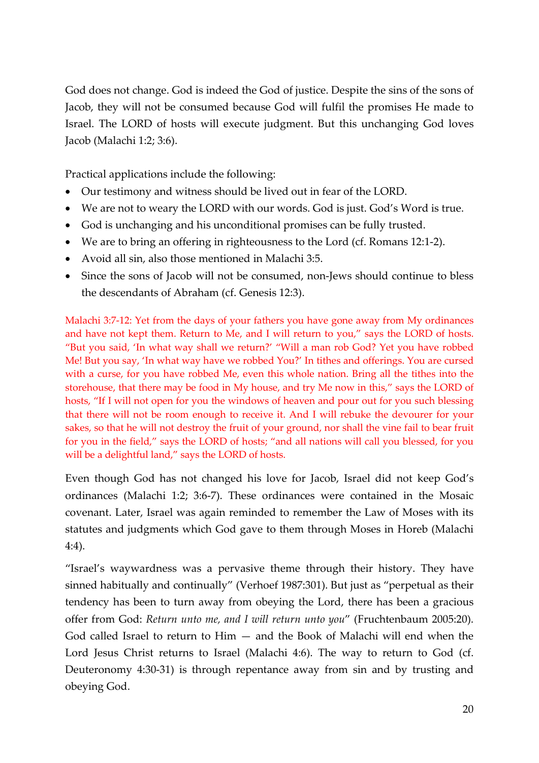God does not change. God is indeed the God of justice. Despite the sins of the sons of Jacob, they will not be consumed because God will fulfil the promises He made to Israel. The LORD of hosts will execute judgment. But this unchanging God loves Jacob (Malachi 1:2; 3:6).

Practical applications include the following:

- Our testimony and witness should be lived out in fear of the LORD.
- We are not to weary the LORD with our words. God is just. God's Word is true.
- God is unchanging and his unconditional promises can be fully trusted.
- We are to bring an offering in righteousness to the Lord (cf. Romans 12:1-2).
- Avoid all sin, also those mentioned in Malachi 3:5.
- Since the sons of Jacob will not be consumed, non-Jews should continue to bless the descendants of Abraham (cf. Genesis 12:3).

Malachi 3:7-12: Yet from the days of your fathers you have gone away from My ordinances and have not kept them. Return to Me, and I will return to you," says the LORD of hosts. "But you said, 'In what way shall we return?' "Will a man rob God? Yet you have robbed Me! But you say, 'In what way have we robbed You?' In tithes and offerings. You are cursed with a curse, for you have robbed Me, even this whole nation. Bring all the tithes into the storehouse, that there may be food in My house, and try Me now in this," says the LORD of hosts, "If I will not open for you the windows of heaven and pour out for you such blessing that there will not be room enough to receive it. And I will rebuke the devourer for your sakes, so that he will not destroy the fruit of your ground, nor shall the vine fail to bear fruit for you in the field," says the LORD of hosts; "and all nations will call you blessed, for you will be a delightful land," says the LORD of hosts.

Even though God has not changed his love for Jacob, Israel did not keep God's ordinances (Malachi 1:2; 3:6-7). These ordinances were contained in the Mosaic covenant. Later, Israel was again reminded to remember the Law of Moses with its statutes and judgments which God gave to them through Moses in Horeb (Malachi 4:4).

"Israel's waywardness was a pervasive theme through their history. They have sinned habitually and continually" (Verhoef 1987:301). But just as "perpetual as their tendency has been to turn away from obeying the Lord, there has been a gracious offer from God: *Return unto me, and I will return unto you*" (Fruchtenbaum 2005:20). God called Israel to return to Him — and the Book of Malachi will end when the Lord Jesus Christ returns to Israel (Malachi 4:6). The way to return to God (cf. Deuteronomy 4:30-31) is through repentance away from sin and by trusting and obeying God.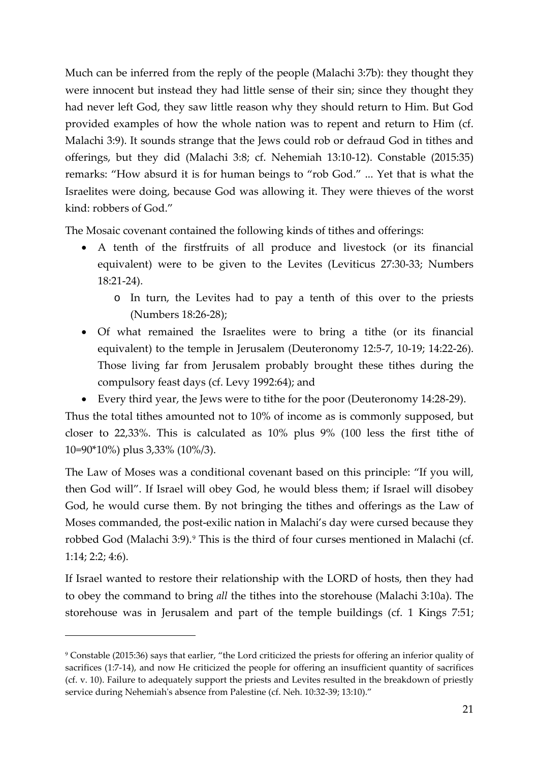Much can be inferred from the reply of the people (Malachi 3:7b): they thought they were innocent but instead they had little sense of their sin; since they thought they had never left God, they saw little reason why they should return to Him. But God provided examples of how the whole nation was to repent and return to Him (cf. Malachi 3:9). It sounds strange that the Jews could rob or defraud God in tithes and offerings, but they did (Malachi 3:8; cf. Nehemiah 13:10-12). Constable (2015:35) remarks: "How absurd it is for human beings to "rob God." ... Yet that is what the Israelites were doing, because God was allowing it. They were thieves of the worst kind: robbers of God."

The Mosaic covenant contained the following kinds of tithes and offerings:

- A tenth of the firstfruits of all produce and livestock (or its financial equivalent) were to be given to the Levites (Leviticus 27:30-33; Numbers 18:21-24).
	- o In turn, the Levites had to pay a tenth of this over to the priests (Numbers 18:26-28);
- Of what remained the Israelites were to bring a tithe (or its financial equivalent) to the temple in Jerusalem (Deuteronomy 12:5-7, 10-19; 14:22-26). Those living far from Jerusalem probably brought these tithes during the compulsory feast days (cf. Levy 1992:64); and
- Every third year, the Jews were to tithe for the poor (Deuteronomy 14:28-29).

Thus the total tithes amounted not to 10% of income as is commonly supposed, but closer to 22,33%. This is calculated as 10% plus 9% (100 less the first tithe of 10=90\*10%) plus 3,33% (10%/3).

The Law of Moses was a conditional covenant based on this principle: "If you will, then God will". If Israel will obey God, he would bless them; if Israel will disobey God, he would curse them. By not bringing the tithes and offerings as the Law of Moses commanded, the post-exilic nation in Malachi's day were cursed because they robbed God (Malachi 3:[9](#page-20-0)).<sup>9</sup> This is the third of four curses mentioned in Malachi (cf. 1:14; 2:2; 4:6).

If Israel wanted to restore their relationship with the LORD of hosts, then they had to obey the command to bring *all* the tithes into the storehouse (Malachi 3:10a). The storehouse was in Jerusalem and part of the temple buildings (cf. 1 Kings 7:51;

<span id="page-20-0"></span><sup>9</sup> Constable (2015:36) says that earlier, "the Lord criticized the priests for offering an inferior quality of sacrifices (1:7-14), and now He criticized the people for offering an insufficient quantity of sacrifices (cf. v. 10). Failure to adequately support the priests and Levites resulted in the breakdown of priestly service during Nehemiah's absence from Palestine (cf. Neh. 10:32-39; 13:10)."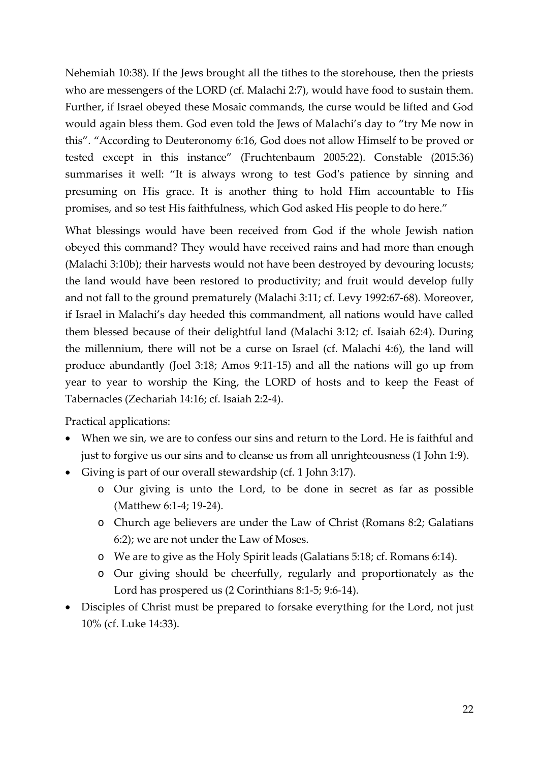Nehemiah 10:38). If the Jews brought all the tithes to the storehouse, then the priests who are messengers of the LORD (cf. Malachi 2:7), would have food to sustain them. Further, if Israel obeyed these Mosaic commands, the curse would be lifted and God would again bless them. God even told the Jews of Malachi's day to "try Me now in this". "According to Deuteronomy 6:16, God does not allow Himself to be proved or tested except in this instance" (Fruchtenbaum 2005:22). Constable (2015:36) summarises it well: "It is always wrong to test God's patience by sinning and presuming on His grace. It is another thing to hold Him accountable to His promises, and so test His faithfulness, which God asked His people to do here."

What blessings would have been received from God if the whole Jewish nation obeyed this command? They would have received rains and had more than enough (Malachi 3:10b); their harvests would not have been destroyed by devouring locusts; the land would have been restored to productivity; and fruit would develop fully and not fall to the ground prematurely (Malachi 3:11; cf. Levy 1992:67-68). Moreover, if Israel in Malachi's day heeded this commandment, all nations would have called them blessed because of their delightful land (Malachi 3:12; cf. Isaiah 62:4). During the millennium, there will not be a curse on Israel (cf. Malachi 4:6), the land will produce abundantly (Joel 3:18; Amos 9:11-15) and all the nations will go up from year to year to worship the King, the LORD of hosts and to keep the Feast of Tabernacles (Zechariah 14:16; cf. Isaiah 2:2-4).

Practical applications:

- When we sin, we are to confess our sins and return to the Lord. He is faithful and just to forgive us our sins and to cleanse us from all unrighteousness (1 John 1:9).
- Giving is part of our overall stewardship (cf. 1 John 3:17).
	- o Our giving is unto the Lord, to be done in secret as far as possible (Matthew 6:1-4; 19-24).
	- o Church age believers are under the Law of Christ (Romans 8:2; Galatians 6:2); we are not under the Law of Moses.
	- o We are to give as the Holy Spirit leads (Galatians 5:18; cf. Romans 6:14).
	- o Our giving should be cheerfully, regularly and proportionately as the Lord has prospered us (2 Corinthians 8:1-5; 9:6-14).
- Disciples of Christ must be prepared to forsake everything for the Lord, not just 10% (cf. Luke 14:33).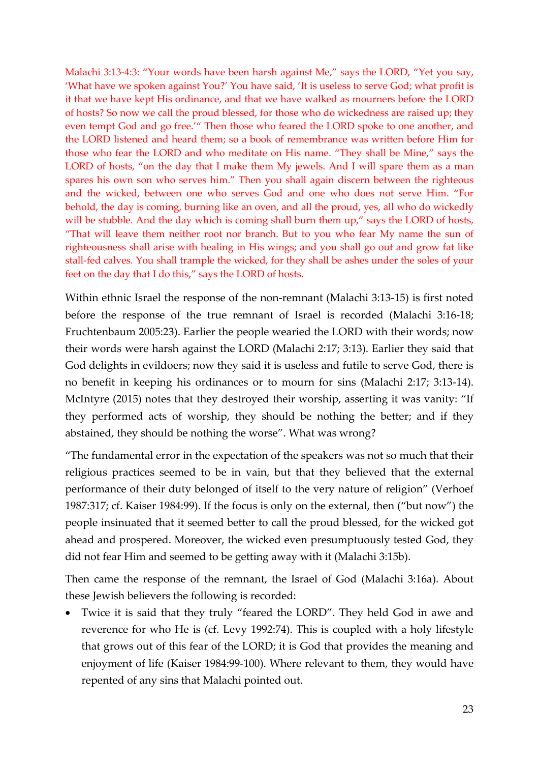Malachi 3:13-4:3: "Your words have been harsh against Me," says the LORD, "Yet you say, 'What have we spoken against You?' You have said, 'It is useless to serve God; what profit is it that we have kept His ordinance, and that we have walked as mourners before the LORD of hosts? So now we call the proud blessed, for those who do wickedness are raised up; they even tempt God and go free.'" Then those who feared the LORD spoke to one another, and the LORD listened and heard them; so a book of remembrance was written before Him for those who fear the LORD and who meditate on His name. "They shall be Mine," says the LORD of hosts, "on the day that I make them My jewels. And I will spare them as a man spares his own son who serves him." Then you shall again discern between the righteous and the wicked, between one who serves God and one who does not serve Him. "For behold, the day is coming, burning like an oven, and all the proud, yes, all who do wickedly will be stubble. And the day which is coming shall burn them up," says the LORD of hosts, "That will leave them neither root nor branch. But to you who fear My name the sun of righteousness shall arise with healing in His wings; and you shall go out and grow fat like stall-fed calves. You shall trample the wicked, for they shall be ashes under the soles of your feet on the day that I do this," says the LORD of hosts.

Within ethnic Israel the response of the non-remnant (Malachi 3:13-15) is first noted before the response of the true remnant of Israel is recorded (Malachi 3:16-18; Fruchtenbaum 2005:23). Earlier the people wearied the LORD with their words; now their words were harsh against the LORD (Malachi 2:17; 3:13). Earlier they said that God delights in evildoers; now they said it is useless and futile to serve God, there is no benefit in keeping his ordinances or to mourn for sins (Malachi 2:17; 3:13-14). McIntyre (2015) notes that they destroyed their worship, asserting it was vanity: "If they performed acts of worship, they should be nothing the better; and if they abstained, they should be nothing the worse". What was wrong?

"The fundamental error in the expectation of the speakers was not so much that their religious practices seemed to be in vain, but that they believed that the external performance of their duty belonged of itself to the very nature of religion" (Verhoef 1987:317; cf. Kaiser 1984:99). If the focus is only on the external, then ("but now") the people insinuated that it seemed better to call the proud blessed, for the wicked got ahead and prospered. Moreover, the wicked even presumptuously tested God, they did not fear Him and seemed to be getting away with it (Malachi 3:15b).

Then came the response of the remnant, the Israel of God (Malachi 3:16a). About these Jewish believers the following is recorded:

• Twice it is said that they truly "feared the LORD". They held God in awe and reverence for who He is (cf. Levy 1992:74). This is coupled with a holy lifestyle that grows out of this fear of the LORD; it is God that provides the meaning and enjoyment of life (Kaiser 1984:99-100). Where relevant to them, they would have repented of any sins that Malachi pointed out.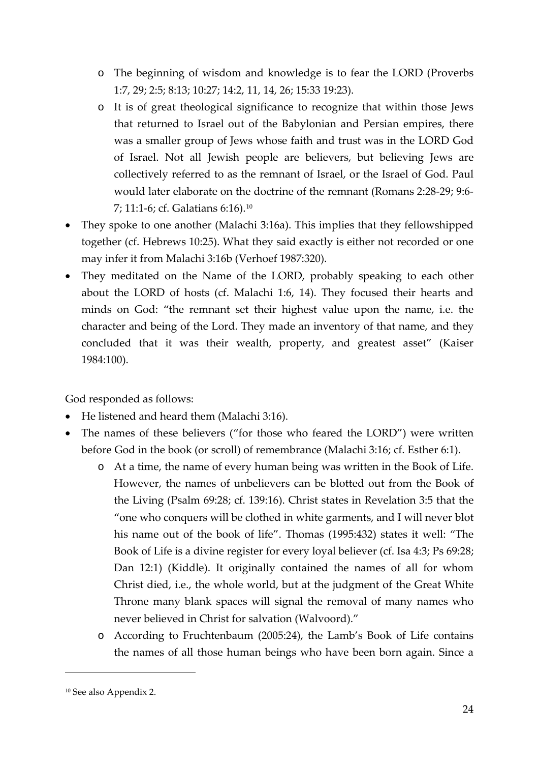- o The beginning of wisdom and knowledge is to fear the LORD (Proverbs 1:7, 29; 2:5; 8:13; 10:27; 14:2, 11, 14, 26; 15:33 19:23).
- o It is of great theological significance to recognize that within those Jews that returned to Israel out of the Babylonian and Persian empires, there was a smaller group of Jews whose faith and trust was in the LORD God of Israel. Not all Jewish people are believers, but believing Jews are collectively referred to as the remnant of Israel, or the Israel of God. Paul would later elaborate on the doctrine of the remnant (Romans 2:28-29; 9:6- 7; 11:1-6; cf. Galatians 6:16).[10](#page-23-0)
- They spoke to one another (Malachi 3:16a). This implies that they fellowshipped together (cf. Hebrews 10:25). What they said exactly is either not recorded or one may infer it from Malachi 3:16b (Verhoef 1987:320).
- They meditated on the Name of the LORD, probably speaking to each other about the LORD of hosts (cf. Malachi 1:6, 14). They focused their hearts and minds on God: "the remnant set their highest value upon the name, i.e. the character and being of the Lord. They made an inventory of that name, and they concluded that it was their wealth, property, and greatest asset" (Kaiser 1984:100).

God responded as follows:

- He listened and heard them (Malachi 3:16).
- The names of these believers ("for those who feared the LORD") were written before God in the book (or scroll) of remembrance (Malachi 3:16; cf. Esther 6:1).
	- o At a time, the name of every human being was written in the Book of Life. However, the names of unbelievers can be blotted out from the Book of the Living (Psalm 69:28; cf. 139:16). Christ states in Revelation 3:5 that the "one who conquers will be clothed in white garments, and I will never blot his name out of the book of life". Thomas (1995:432) states it well: "The Book of Life is a divine register for every loyal believer (cf. Isa 4:3; Ps 69:28; Dan 12:1) (Kiddle). It originally contained the names of all for whom Christ died, i.e., the whole world, but at the judgment of the Great White Throne many blank spaces will signal the removal of many names who never believed in Christ for salvation (Walvoord)."
	- o According to Fruchtenbaum (2005:24), the Lamb's Book of Life contains the names of all those human beings who have been born again. Since a

<span id="page-23-0"></span><sup>10</sup> See also Appendix 2.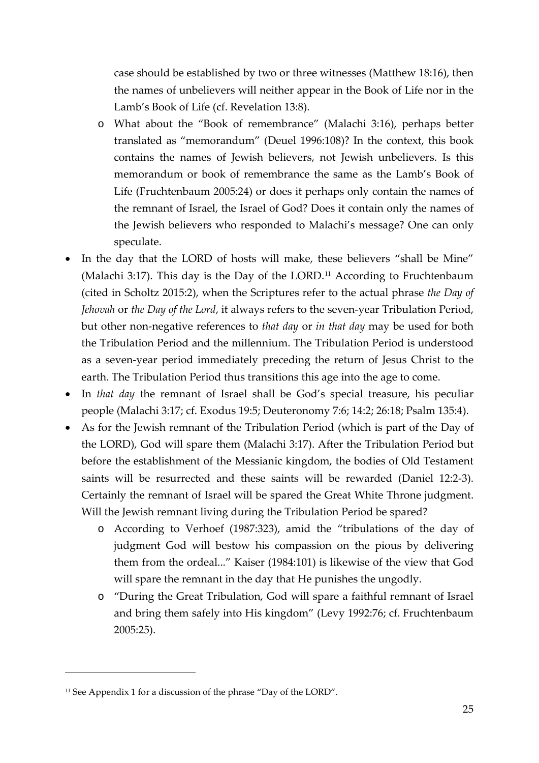case should be established by two or three witnesses (Matthew 18:16), then the names of unbelievers will neither appear in the Book of Life nor in the Lamb's Book of Life (cf. Revelation 13:8).

- o What about the "Book of remembrance" (Malachi 3:16), perhaps better translated as "memorandum" (Deuel 1996:108)? In the context, this book contains the names of Jewish believers, not Jewish unbelievers. Is this memorandum or book of remembrance the same as the Lamb's Book of Life (Fruchtenbaum 2005:24) or does it perhaps only contain the names of the remnant of Israel, the Israel of God? Does it contain only the names of the Jewish believers who responded to Malachi's message? One can only speculate.
- In the day that the LORD of hosts will make, these believers "shall be Mine" (Malachi 3:17). This day is the Day of the LORD.<sup>[11](#page-24-0)</sup> According to Fruchtenbaum (cited in Scholtz 2015:2), when the Scriptures refer to the actual phrase *the Day of Jehovah* or *the Day of the Lord*, it always refers to the seven-year Tribulation Period, but other non-negative references to *that day* or *in that day* may be used for both the Tribulation Period and the millennium. The Tribulation Period is understood as a seven-year period immediately preceding the return of Jesus Christ to the earth. The Tribulation Period thus transitions this age into the age to come.
- In *that day* the remnant of Israel shall be God's special treasure, his peculiar people (Malachi 3:17; cf. Exodus 19:5; Deuteronomy 7:6; 14:2; 26:18; Psalm 135:4).
- As for the Jewish remnant of the Tribulation Period (which is part of the Day of the LORD), God will spare them (Malachi 3:17). After the Tribulation Period but before the establishment of the Messianic kingdom, the bodies of Old Testament saints will be resurrected and these saints will be rewarded (Daniel 12:2-3). Certainly the remnant of Israel will be spared the Great White Throne judgment. Will the Jewish remnant living during the Tribulation Period be spared?
	- o According to Verhoef (1987:323), amid the "tribulations of the day of judgment God will bestow his compassion on the pious by delivering them from the ordeal..." Kaiser (1984:101) is likewise of the view that God will spare the remnant in the day that He punishes the ungodly.
	- o "During the Great Tribulation, God will spare a faithful remnant of Israel and bring them safely into His kingdom" (Levy 1992:76; cf. Fruchtenbaum 2005:25).

<span id="page-24-0"></span><sup>&</sup>lt;sup>11</sup> See Appendix 1 for a discussion of the phrase "Day of the LORD".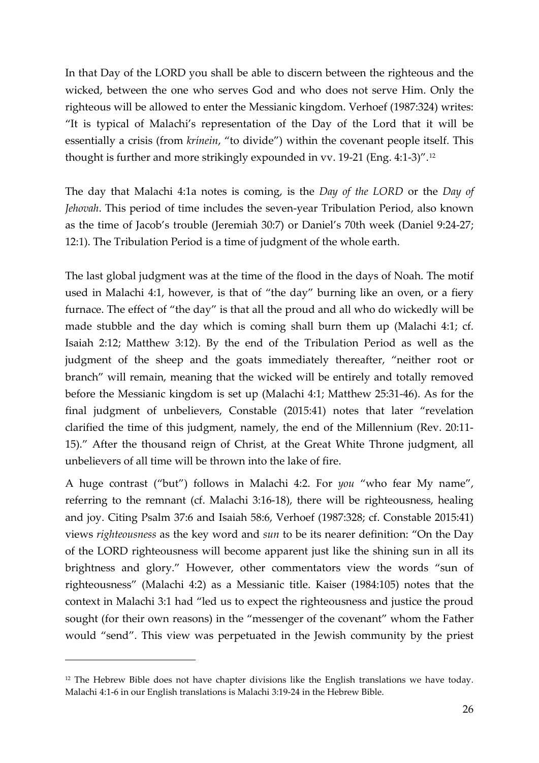In that Day of the LORD you shall be able to discern between the righteous and the wicked, between the one who serves God and who does not serve Him. Only the righteous will be allowed to enter the Messianic kingdom. Verhoef (1987:324) writes: "It is typical of Malachi's representation of the Day of the Lord that it will be essentially a crisis (from *krínein*, "to divide") within the covenant people itself. This thought is further and more strikingly expounded in vv. 19-21 (Eng. 4:1-3)".<sup>[12](#page-25-0)</sup>

The day that Malachi 4:1a notes is coming, is the *Day of the LORD* or the *Day of Jehovah*. This period of time includes the seven-year Tribulation Period, also known as the time of Jacob's trouble (Jeremiah 30:7) or Daniel's 70th week (Daniel 9:24-27; 12:1). The Tribulation Period is a time of judgment of the whole earth.

The last global judgment was at the time of the flood in the days of Noah. The motif used in Malachi 4:1, however, is that of "the day" burning like an oven, or a fiery furnace. The effect of "the day" is that all the proud and all who do wickedly will be made stubble and the day which is coming shall burn them up (Malachi 4:1; cf. Isaiah 2:12; Matthew 3:12). By the end of the Tribulation Period as well as the judgment of the sheep and the goats immediately thereafter, "neither root or branch" will remain, meaning that the wicked will be entirely and totally removed before the Messianic kingdom is set up (Malachi 4:1; Matthew 25:31-46). As for the final judgment of unbelievers, Constable (2015:41) notes that later "revelation clarified the time of this judgment, namely, the end of the Millennium (Rev. 20:11- 15)." After the thousand reign of Christ, at the Great White Throne judgment, all unbelievers of all time will be thrown into the lake of fire.

A huge contrast ("but") follows in Malachi 4:2. For *you* "who fear My name", referring to the remnant (cf. Malachi 3:16-18), there will be righteousness, healing and joy. Citing Psalm 37:6 and Isaiah 58:6, Verhoef (1987:328; cf. Constable 2015:41) views *righteousness* as the key word and *sun* to be its nearer definition: "On the Day of the LORD righteousness will become apparent just like the shining sun in all its brightness and glory." However, other commentators view the words "sun of righteousness" (Malachi 4:2) as a Messianic title. Kaiser (1984:105) notes that the context in Malachi 3:1 had "led us to expect the righteousness and justice the proud sought (for their own reasons) in the "messenger of the covenant" whom the Father would "send". This view was perpetuated in the Jewish community by the priest

<span id="page-25-0"></span> $12$  The Hebrew Bible does not have chapter divisions like the English translations we have today. Malachi 4:1-6 in our English translations is Malachi 3:19-24 in the Hebrew Bible.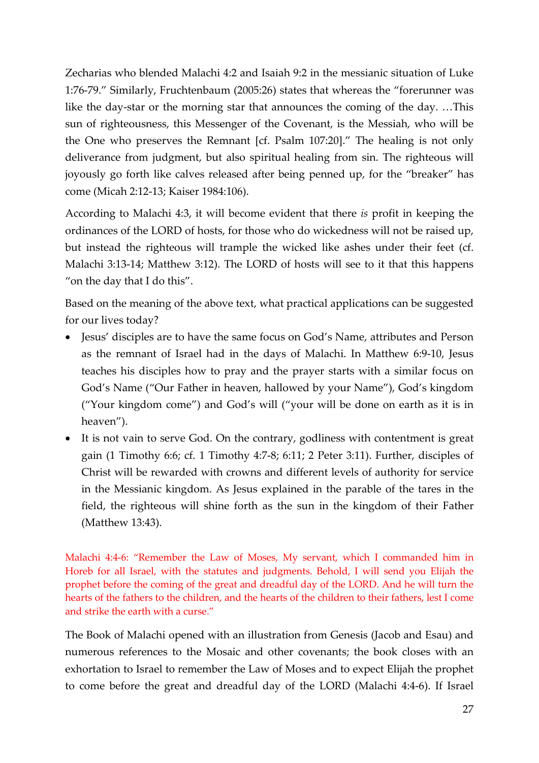Zecharias who blended Malachi 4:2 and Isaiah 9:2 in the messianic situation of Luke 1:76-79." Similarly, Fruchtenbaum (2005:26) states that whereas the "forerunner was like the day-star or the morning star that announces the coming of the day. …This sun of righteousness, this Messenger of the Covenant, is the Messiah, who will be the One who preserves the Remnant [cf. Psalm 107:20]." The healing is not only deliverance from judgment, but also spiritual healing from sin. The righteous will joyously go forth like calves released after being penned up, for the "breaker" has come (Micah 2:12-13; Kaiser 1984:106).

According to Malachi 4:3, it will become evident that there *is* profit in keeping the ordinances of the LORD of hosts, for those who do wickedness will not be raised up, but instead the righteous will trample the wicked like ashes under their feet (cf. Malachi 3:13-14; Matthew 3:12). The LORD of hosts will see to it that this happens "on the day that I do this".

Based on the meaning of the above text, what practical applications can be suggested for our lives today?

- Jesus' disciples are to have the same focus on God's Name, attributes and Person as the remnant of Israel had in the days of Malachi. In Matthew 6:9-10, Jesus teaches his disciples how to pray and the prayer starts with a similar focus on God's Name ("Our Father in heaven, hallowed by your Name"), God's kingdom ("Your kingdom come") and God's will ("your will be done on earth as it is in heaven").
- It is not vain to serve God. On the contrary, godliness with contentment is great gain (1 Timothy 6:6; cf. 1 Timothy 4:7-8; 6:11; 2 Peter 3:11). Further, disciples of Christ will be rewarded with crowns and different levels of authority for service in the Messianic kingdom. As Jesus explained in the parable of the tares in the field, the righteous will shine forth as the sun in the kingdom of their Father (Matthew 13:43).

Malachi 4:4-6: "Remember the Law of Moses, My servant, which I commanded him in Horeb for all Israel, with the statutes and judgments. Behold, I will send you Elijah the prophet before the coming of the great and dreadful day of the LORD. And he will turn the hearts of the fathers to the children, and the hearts of the children to their fathers, lest I come and strike the earth with a curse."

The Book of Malachi opened with an illustration from Genesis (Jacob and Esau) and numerous references to the Mosaic and other covenants; the book closes with an exhortation to Israel to remember the Law of Moses and to expect Elijah the prophet to come before the great and dreadful day of the LORD (Malachi 4:4-6). If Israel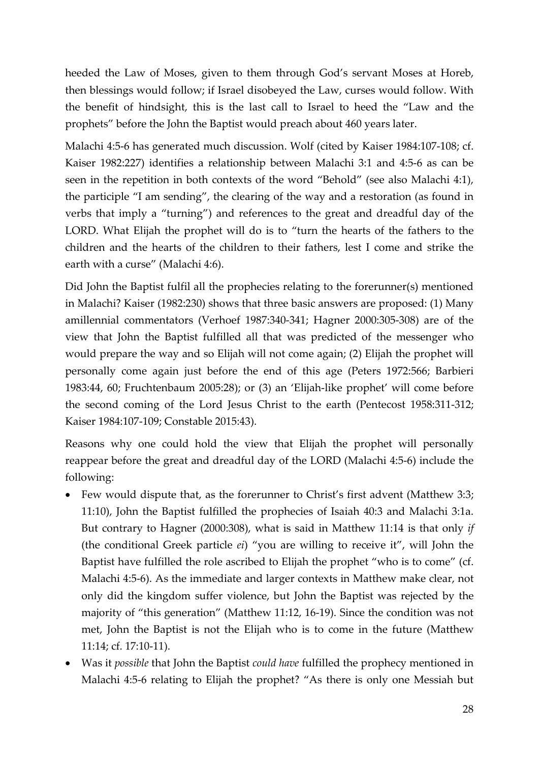heeded the Law of Moses, given to them through God's servant Moses at Horeb, then blessings would follow; if Israel disobeyed the Law, curses would follow. With the benefit of hindsight, this is the last call to Israel to heed the "Law and the prophets" before the John the Baptist would preach about 460 years later.

Malachi 4:5-6 has generated much discussion. Wolf (cited by Kaiser 1984:107-108; cf. Kaiser 1982:227) identifies a relationship between Malachi 3:1 and 4:5-6 as can be seen in the repetition in both contexts of the word "Behold" (see also Malachi 4:1), the participle "I am sending", the clearing of the way and a restoration (as found in verbs that imply a "turning") and references to the great and dreadful day of the LORD. What Elijah the prophet will do is to "turn the hearts of the fathers to the children and the hearts of the children to their fathers, lest I come and strike the earth with a curse" (Malachi 4:6).

Did John the Baptist fulfil all the prophecies relating to the forerunner(s) mentioned in Malachi? Kaiser (1982:230) shows that three basic answers are proposed: (1) Many amillennial commentators (Verhoef 1987:340-341; Hagner 2000:305-308) are of the view that John the Baptist fulfilled all that was predicted of the messenger who would prepare the way and so Elijah will not come again; (2) Elijah the prophet will personally come again just before the end of this age (Peters 1972:566; Barbieri 1983:44, 60; Fruchtenbaum 2005:28); or (3) an 'Elijah-like prophet' will come before the second coming of the Lord Jesus Christ to the earth (Pentecost 1958:311-312; Kaiser 1984:107-109; Constable 2015:43).

Reasons why one could hold the view that Elijah the prophet will personally reappear before the great and dreadful day of the LORD (Malachi 4:5-6) include the following:

- Few would dispute that, as the forerunner to Christ's first advent (Matthew 3:3; 11:10), John the Baptist fulfilled the prophecies of Isaiah 40:3 and Malachi 3:1a. But contrary to Hagner (2000:308), what is said in Matthew 11:14 is that only *if* (the conditional Greek particle *ei*) "you are willing to receive it", will John the Baptist have fulfilled the role ascribed to Elijah the prophet "who is to come" (cf. Malachi 4:5-6). As the immediate and larger contexts in Matthew make clear, not only did the kingdom suffer violence, but John the Baptist was rejected by the majority of "this generation" (Matthew 11:12, 16-19). Since the condition was not met, John the Baptist is not the Elijah who is to come in the future (Matthew 11:14; cf. 17:10-11).
- Was it *possible* that John the Baptist *could have* fulfilled the prophecy mentioned in Malachi 4:5-6 relating to Elijah the prophet? "As there is only one Messiah but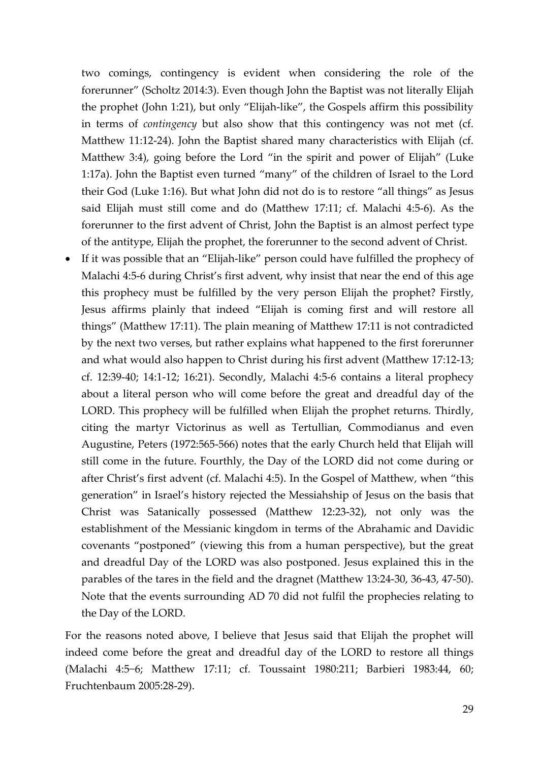two comings, contingency is evident when considering the role of the forerunner" (Scholtz 2014:3). Even though John the Baptist was not literally Elijah the prophet (John 1:21), but only "Elijah-like", the Gospels affirm this possibility in terms of *contingency* but also show that this contingency was not met (cf. Matthew 11:12-24). John the Baptist shared many characteristics with Elijah (cf. Matthew 3:4), going before the Lord "in the spirit and power of Elijah" (Luke 1:17a). John the Baptist even turned "many" of the children of Israel to the Lord their God (Luke 1:16). But what John did not do is to restore "all things" as Jesus said Elijah must still come and do (Matthew 17:11; cf. Malachi 4:5-6). As the forerunner to the first advent of Christ, John the Baptist is an almost perfect type of the antitype, Elijah the prophet, the forerunner to the second advent of Christ.

• If it was possible that an "Elijah-like" person could have fulfilled the prophecy of Malachi 4:5-6 during Christ's first advent, why insist that near the end of this age this prophecy must be fulfilled by the very person Elijah the prophet? Firstly, Jesus affirms plainly that indeed "Elijah is coming first and will restore all things" (Matthew 17:11). The plain meaning of Matthew 17:11 is not contradicted by the next two verses, but rather explains what happened to the first forerunner and what would also happen to Christ during his first advent (Matthew 17:12-13; cf. 12:39-40; 14:1-12; 16:21). Secondly, Malachi 4:5-6 contains a literal prophecy about a literal person who will come before the great and dreadful day of the LORD. This prophecy will be fulfilled when Elijah the prophet returns. Thirdly, citing the martyr Victorinus as well as Tertullian, Commodianus and even Augustine, Peters (1972:565-566) notes that the early Church held that Elijah will still come in the future. Fourthly, the Day of the LORD did not come during or after Christ's first advent (cf. Malachi 4:5). In the Gospel of Matthew, when "this generation" in Israel's history rejected the Messiahship of Jesus on the basis that Christ was Satanically possessed (Matthew 12:23-32), not only was the establishment of the Messianic kingdom in terms of the Abrahamic and Davidic covenants "postponed" (viewing this from a human perspective), but the great and dreadful Day of the LORD was also postponed. Jesus explained this in the parables of the tares in the field and the dragnet (Matthew 13:24-30, 36-43, 47-50). Note that the events surrounding AD 70 did not fulfil the prophecies relating to the Day of the LORD.

For the reasons noted above, I believe that Jesus said that Elijah the prophet will indeed come before the great and dreadful day of the LORD to restore all things (Malachi 4:5−6; Matthew 17:11; cf. Toussaint 1980:211; Barbieri 1983:44, 60; Fruchtenbaum 2005:28-29).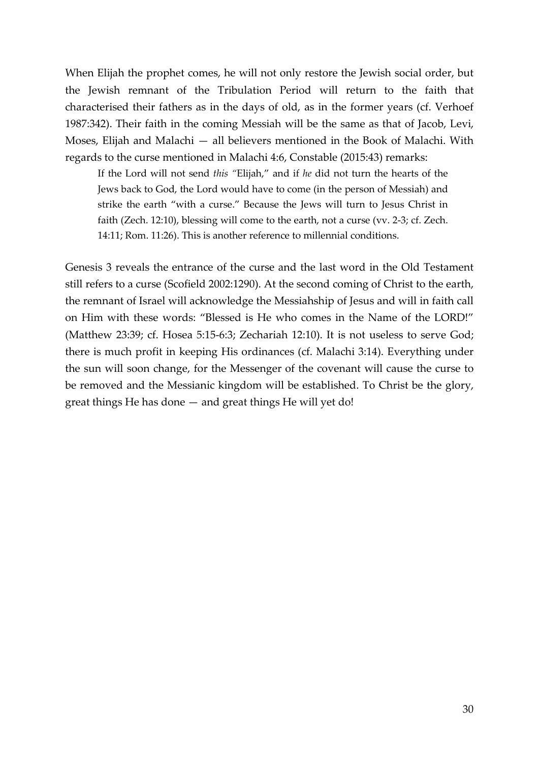When Elijah the prophet comes, he will not only restore the Jewish social order, but the Jewish remnant of the Tribulation Period will return to the faith that characterised their fathers as in the days of old, as in the former years (cf. Verhoef 1987:342). Their faith in the coming Messiah will be the same as that of Jacob, Levi, Moses, Elijah and Malachi — all believers mentioned in the Book of Malachi. With regards to the curse mentioned in Malachi 4:6, Constable (2015:43) remarks:

If the Lord will not send *this "*Elijah," and if *he* did not turn the hearts of the Jews back to God, the Lord would have to come (in the person of Messiah) and strike the earth "with a curse." Because the Jews will turn to Jesus Christ in faith (Zech. 12:10), blessing will come to the earth, not a curse (vv. 2-3; cf. Zech. 14:11; Rom. 11:26). This is another reference to millennial conditions.

Genesis 3 reveals the entrance of the curse and the last word in the Old Testament still refers to a curse (Scofield 2002:1290). At the second coming of Christ to the earth, the remnant of Israel will acknowledge the Messiahship of Jesus and will in faith call on Him with these words: "Blessed is He who comes in the Name of the LORD!" (Matthew 23:39; cf. Hosea 5:15-6:3; Zechariah 12:10). It is not useless to serve God; there is much profit in keeping His ordinances (cf. Malachi 3:14). Everything under the sun will soon change, for the Messenger of the covenant will cause the curse to be removed and the Messianic kingdom will be established. To Christ be the glory, great things He has done — and great things He will yet do!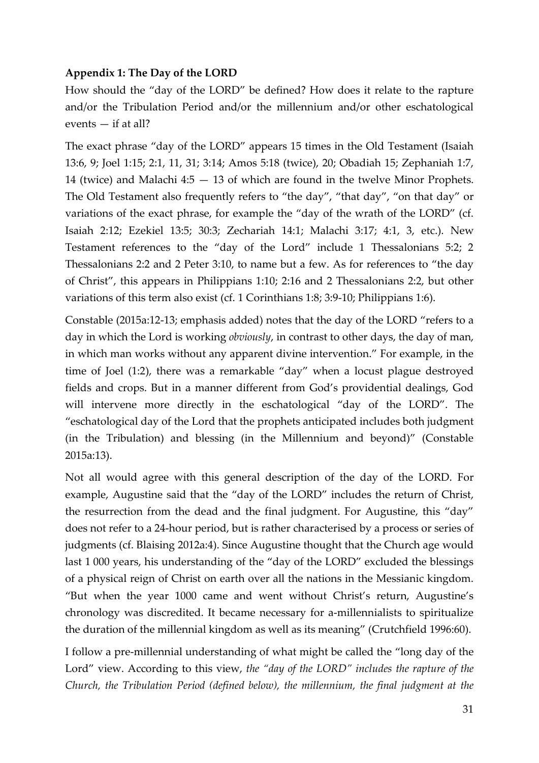# **Appendix 1: The Day of the LORD**

How should the "day of the LORD" be defined? How does it relate to the rapture and/or the Tribulation Period and/or the millennium and/or other eschatological events — if at all?

The exact phrase "day of the LORD" appears 15 times in the Old Testament (Isaiah 13:6, 9; Joel 1:15; 2:1, 11, 31; 3:14; Amos 5:18 (twice), 20; Obadiah 15; Zephaniah 1:7, 14 (twice) and Malachi 4:5 — 13 of which are found in the twelve Minor Prophets. The Old Testament also frequently refers to "the day", "that day", "on that day" or variations of the exact phrase, for example the "day of the wrath of the LORD" (cf. Isaiah 2:12; Ezekiel 13:5; 30:3; Zechariah 14:1; Malachi 3:17; 4:1, 3, etc.). New Testament references to the "day of the Lord" include 1 Thessalonians 5:2; 2 Thessalonians 2:2 and 2 Peter 3:10, to name but a few. As for references to "the day of Christ", this appears in Philippians 1:10; 2:16 and 2 Thessalonians 2:2, but other variations of this term also exist (cf. 1 Corinthians 1:8; 3:9-10; Philippians 1:6).

Constable (2015a:12-13; emphasis added) notes that the day of the LORD "refers to a day in which the Lord is working *obviously*, in contrast to other days, the day of man, in which man works without any apparent divine intervention." For example, in the time of Joel (1:2), there was a remarkable "day" when a locust plague destroyed fields and crops. But in a manner different from God's providential dealings, God will intervene more directly in the eschatological "day of the LORD". The "eschatological day of the Lord that the prophets anticipated includes both judgment (in the Tribulation) and blessing (in the Millennium and beyond)" (Constable 2015a:13).

Not all would agree with this general description of the day of the LORD. For example, Augustine said that the "day of the LORD" includes the return of Christ, the resurrection from the dead and the final judgment. For Augustine, this "day" does not refer to a 24-hour period, but is rather characterised by a process or series of judgments (cf. Blaising 2012a:4). Since Augustine thought that the Church age would last 1 000 years, his understanding of the "day of the LORD" excluded the blessings of a physical reign of Christ on earth over all the nations in the Messianic kingdom. "But when the year 1000 came and went without Christ's return, Augustine's chronology was discredited. It became necessary for a-millennialists to spiritualize the duration of the millennial kingdom as well as its meaning" (Crutchfield 1996:60).

I follow a pre-millennial understanding of what might be called the "long day of the Lord" view. According to this view, *the "day of the LORD" includes the rapture of the Church, the Tribulation Period (defined below), the millennium, the final judgment at the*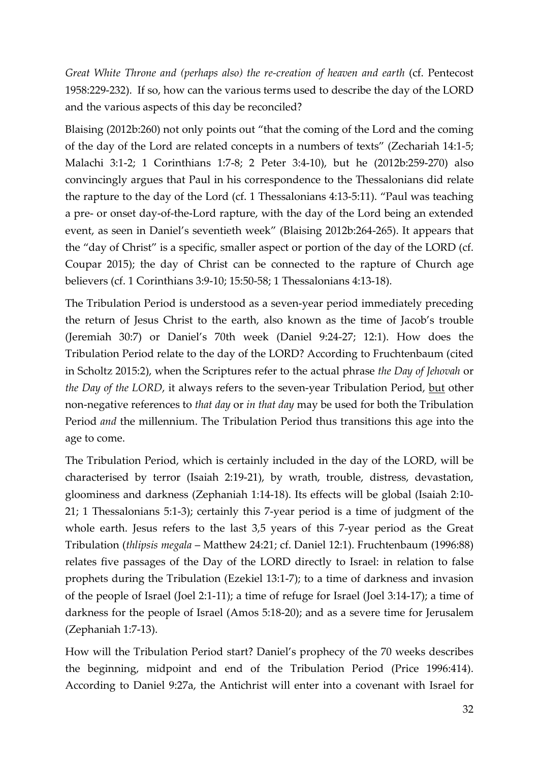*Great White Throne and (perhaps also) the re-creation of heaven and earth* (cf. Pentecost 1958:229-232). If so, how can the various terms used to describe the day of the LORD and the various aspects of this day be reconciled?

Blaising (2012b:260) not only points out "that the coming of the Lord and the coming of the day of the Lord are related concepts in a numbers of texts" (Zechariah 14:1-5; Malachi 3:1-2; 1 Corinthians 1:7-8; 2 Peter 3:4-10), but he (2012b:259-270) also convincingly argues that Paul in his correspondence to the Thessalonians did relate the rapture to the day of the Lord (cf. 1 Thessalonians 4:13-5:11). "Paul was teaching a pre- or onset day-of-the-Lord rapture, with the day of the Lord being an extended event, as seen in Daniel's seventieth week" (Blaising 2012b:264-265). It appears that the "day of Christ" is a specific, smaller aspect or portion of the day of the LORD (cf. Coupar 2015); the day of Christ can be connected to the rapture of Church age believers (cf. 1 Corinthians 3:9-10; 15:50-58; 1 Thessalonians 4:13-18).

The Tribulation Period is understood as a seven-year period immediately preceding the return of Jesus Christ to the earth, also known as the time of Jacob's trouble (Jeremiah 30:7) or Daniel's 70th week (Daniel 9:24-27; 12:1). How does the Tribulation Period relate to the day of the LORD? According to Fruchtenbaum (cited in Scholtz 2015:2), when the Scriptures refer to the actual phrase *the Day of Jehovah* or *the Day of the LORD*, it always refers to the seven-year Tribulation Period, but other non-negative references to *that day* or *in that day* may be used for both the Tribulation Period *and* the millennium. The Tribulation Period thus transitions this age into the age to come.

The Tribulation Period, which is certainly included in the day of the LORD, will be characterised by terror (Isaiah 2:19-21), by wrath, trouble, distress, devastation, gloominess and darkness (Zephaniah 1:14-18). Its effects will be global (Isaiah 2:10- 21; 1 Thessalonians 5:1-3); certainly this 7-year period is a time of judgment of the whole earth. Jesus refers to the last 3,5 years of this 7-year period as the Great Tribulation (*thlipsis megala* – Matthew 24:21; cf. Daniel 12:1). Fruchtenbaum (1996:88) relates five passages of the Day of the LORD directly to Israel: in relation to false prophets during the Tribulation (Ezekiel 13:1-7); to a time of darkness and invasion of the people of Israel (Joel 2:1-11); a time of refuge for Israel (Joel 3:14-17); a time of darkness for the people of Israel (Amos 5:18-20); and as a severe time for Jerusalem (Zephaniah 1:7-13).

How will the Tribulation Period start? Daniel's prophecy of the 70 weeks describes the beginning, midpoint and end of the Tribulation Period (Price 1996:414). According to Daniel 9:27a, the Antichrist will enter into a covenant with Israel for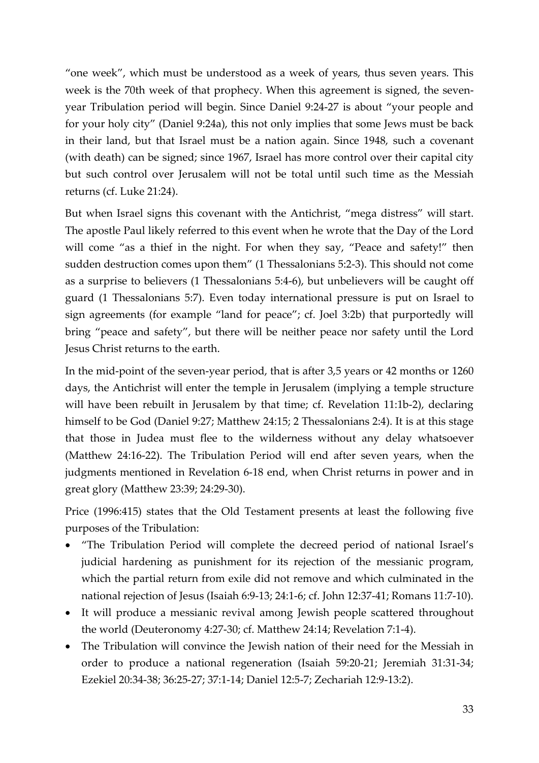"one week", which must be understood as a week of years, thus seven years. This week is the 70th week of that prophecy. When this agreement is signed, the sevenyear Tribulation period will begin. Since Daniel 9:24-27 is about "your people and for your holy city" (Daniel 9:24a), this not only implies that some Jews must be back in their land, but that Israel must be a nation again. Since 1948, such a covenant (with death) can be signed; since 1967, Israel has more control over their capital city but such control over Jerusalem will not be total until such time as the Messiah returns (cf. Luke 21:24).

But when Israel signs this covenant with the Antichrist, "mega distress" will start. The apostle Paul likely referred to this event when he wrote that the Day of the Lord will come "as a thief in the night. For when they say, "Peace and safety!" then sudden destruction comes upon them" (1 Thessalonians 5:2-3). This should not come as a surprise to believers (1 Thessalonians 5:4-6), but unbelievers will be caught off guard (1 Thessalonians 5:7). Even today international pressure is put on Israel to sign agreements (for example "land for peace"; cf. Joel 3:2b) that purportedly will bring "peace and safety", but there will be neither peace nor safety until the Lord Jesus Christ returns to the earth.

In the mid-point of the seven-year period, that is after 3,5 years or 42 months or 1260 days, the Antichrist will enter the temple in Jerusalem (implying a temple structure will have been rebuilt in Jerusalem by that time; cf. Revelation 11:1b-2), declaring himself to be God (Daniel 9:27; Matthew 24:15; 2 Thessalonians 2:4). It is at this stage that those in Judea must flee to the wilderness without any delay whatsoever (Matthew 24:16-22). The Tribulation Period will end after seven years, when the judgments mentioned in Revelation 6-18 end, when Christ returns in power and in great glory (Matthew 23:39; 24:29-30).

Price (1996:415) states that the Old Testament presents at least the following five purposes of the Tribulation:

- "The Tribulation Period will complete the decreed period of national Israel's judicial hardening as punishment for its rejection of the messianic program, which the partial return from exile did not remove and which culminated in the national rejection of Jesus (Isaiah 6:9-13; 24:1-6; cf. John 12:37-41; Romans 11:7-10).
- It will produce a messianic revival among Jewish people scattered throughout the world (Deuteronomy 4:27-30; cf. Matthew 24:14; Revelation 7:1-4).
- The Tribulation will convince the Jewish nation of their need for the Messiah in order to produce a national regeneration (Isaiah 59:20-21; Jeremiah 31:31-34; Ezekiel 20:34-38; 36:25-27; 37:1-14; Daniel 12:5-7; Zechariah 12:9-13:2).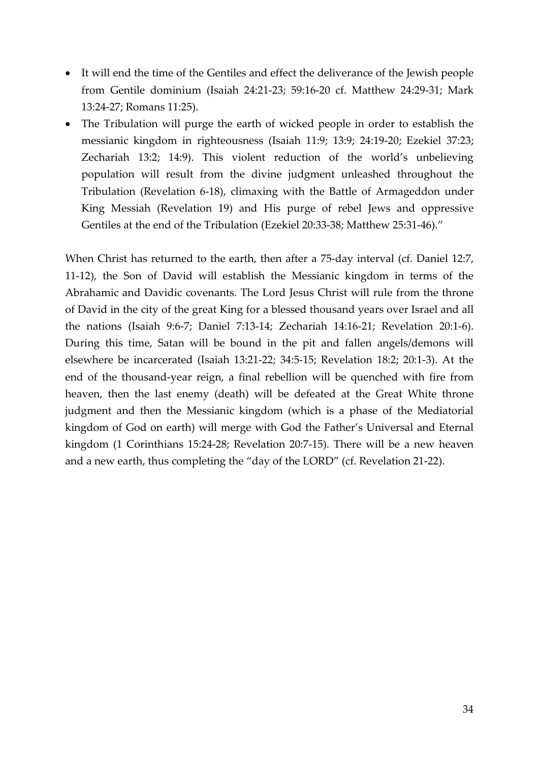- It will end the time of the Gentiles and effect the deliverance of the Jewish people from Gentile dominium (Isaiah 24:21-23; 59:16-20 cf. Matthew 24:29-31; Mark 13:24-27; Romans 11:25).
- The Tribulation will purge the earth of wicked people in order to establish the messianic kingdom in righteousness (Isaiah 11:9; 13:9; 24:19-20; Ezekiel 37:23; Zechariah 13:2; 14:9). This violent reduction of the world's unbelieving population will result from the divine judgment unleashed throughout the Tribulation (Revelation 6-18), climaxing with the Battle of Armageddon under King Messiah (Revelation 19) and His purge of rebel Jews and oppressive Gentiles at the end of the Tribulation (Ezekiel 20:33-38; Matthew 25:31-46)."

When Christ has returned to the earth, then after a 75-day interval (cf. Daniel 12:7, 11-12), the Son of David will establish the Messianic kingdom in terms of the Abrahamic and Davidic covenants. The Lord Jesus Christ will rule from the throne of David in the city of the great King for a blessed thousand years over Israel and all the nations (Isaiah 9:6-7; Daniel 7:13-14; Zechariah 14:16-21; Revelation 20:1-6). During this time, Satan will be bound in the pit and fallen angels/demons will elsewhere be incarcerated (Isaiah 13:21-22; 34:5-15; Revelation 18:2; 20:1-3). At the end of the thousand-year reign, a final rebellion will be quenched with fire from heaven, then the last enemy (death) will be defeated at the Great White throne judgment and then the Messianic kingdom (which is a phase of the Mediatorial kingdom of God on earth) will merge with God the Father's Universal and Eternal kingdom (1 Corinthians 15:24-28; Revelation 20:7-15). There will be a new heaven and a new earth, thus completing the "day of the LORD" (cf. Revelation 21-22).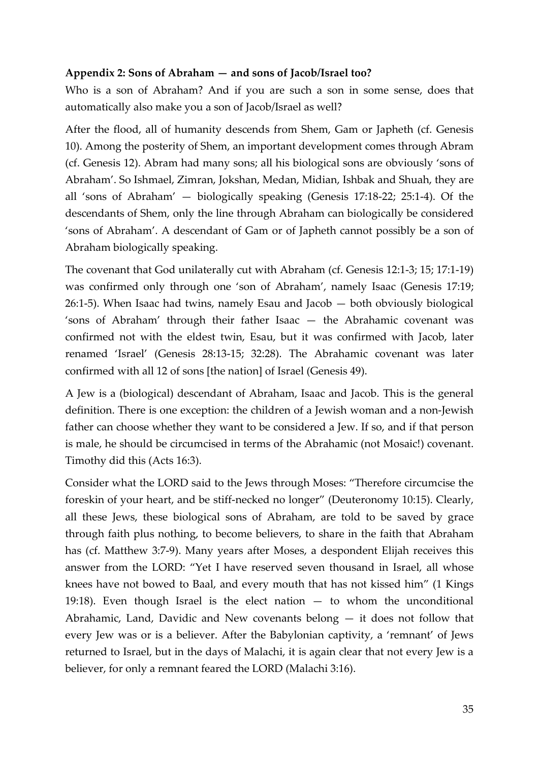# **Appendix 2: Sons of Abraham — and sons of Jacob/Israel too?**

Who is a son of Abraham? And if you are such a son in some sense, does that automatically also make you a son of Jacob/Israel as well?

After the flood, all of humanity descends from Shem, Gam or Japheth (cf. Genesis 10). Among the posterity of Shem, an important development comes through Abram (cf. Genesis 12). Abram had many sons; all his biological sons are obviously 'sons of Abraham'. So Ishmael, Zimran, Jokshan, Medan, Midian, Ishbak and Shuah, they are all 'sons of Abraham' — biologically speaking (Genesis 17:18-22; 25:1-4). Of the descendants of Shem, only the line through Abraham can biologically be considered 'sons of Abraham'. A descendant of Gam or of Japheth cannot possibly be a son of Abraham biologically speaking.

The covenant that God unilaterally cut with Abraham (cf. Genesis 12:1-3; 15; 17:1-19) was confirmed only through one 'son of Abraham', namely Isaac (Genesis 17:19; 26:1-5). When Isaac had twins, namely Esau and Jacob — both obviously biological 'sons of Abraham' through their father Isaac — the Abrahamic covenant was confirmed not with the eldest twin, Esau, but it was confirmed with Jacob, later renamed 'Israel' (Genesis 28:13-15; 32:28). The Abrahamic covenant was later confirmed with all 12 of sons [the nation] of Israel (Genesis 49).

A Jew is a (biological) descendant of Abraham, Isaac and Jacob. This is the general definition. There is one exception: the children of a Jewish woman and a non-Jewish father can choose whether they want to be considered a Jew. If so, and if that person is male, he should be circumcised in terms of the Abrahamic (not Mosaic!) covenant. Timothy did this (Acts 16:3).

Consider what the LORD said to the Jews through Moses: "Therefore circumcise the foreskin of your heart, and be stiff-necked no longer" (Deuteronomy 10:15). Clearly, all these Jews, these biological sons of Abraham, are told to be saved by grace through faith plus nothing, to become believers, to share in the faith that Abraham has (cf. Matthew 3:7-9). Many years after Moses, a despondent Elijah receives this answer from the LORD: "Yet I have reserved seven thousand in Israel, all whose knees have not bowed to Baal, and every mouth that has not kissed him" (1 Kings 19:18). Even though Israel is the elect nation — to whom the unconditional Abrahamic, Land, Davidic and New covenants belong — it does not follow that every Jew was or is a believer. After the Babylonian captivity, a 'remnant' of Jews returned to Israel, but in the days of Malachi, it is again clear that not every Jew is a believer, for only a remnant feared the LORD (Malachi 3:16).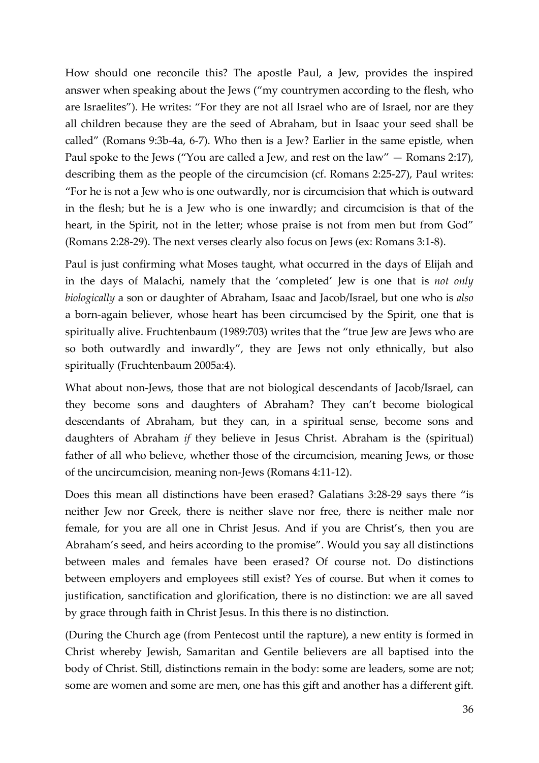How should one reconcile this? The apostle Paul, a Jew, provides the inspired answer when speaking about the Jews ("my countrymen according to the flesh, who are Israelites"). He writes: "For they are not all Israel who are of Israel, nor are they all children because they are the seed of Abraham, but in Isaac your seed shall be called" (Romans 9:3b-4a, 6-7). Who then is a Jew? Earlier in the same epistle, when Paul spoke to the Jews ("You are called a Jew, and rest on the law" — Romans 2:17), describing them as the people of the circumcision (cf. Romans 2:25-27), Paul writes: "For he is not a Jew who is one outwardly, nor is circumcision that which is outward in the flesh; but he is a Jew who is one inwardly; and circumcision is that of the heart, in the Spirit, not in the letter; whose praise is not from men but from God" (Romans 2:28-29). The next verses clearly also focus on Jews (ex: Romans 3:1-8).

Paul is just confirming what Moses taught, what occurred in the days of Elijah and in the days of Malachi, namely that the 'completed' Jew is one that is *not only biologically* a son or daughter of Abraham, Isaac and Jacob/Israel, but one who is *also* a born-again believer, whose heart has been circumcised by the Spirit, one that is spiritually alive. Fruchtenbaum (1989:703) writes that the "true Jew are Jews who are so both outwardly and inwardly", they are Jews not only ethnically, but also spiritually (Fruchtenbaum 2005a:4).

What about non-Jews, those that are not biological descendants of Jacob/Israel, can they become sons and daughters of Abraham? They can't become biological descendants of Abraham, but they can, in a spiritual sense, become sons and daughters of Abraham *if* they believe in Jesus Christ. Abraham is the (spiritual) father of all who believe, whether those of the circumcision, meaning Jews, or those of the uncircumcision, meaning non-Jews (Romans 4:11-12).

Does this mean all distinctions have been erased? Galatians 3:28-29 says there "is neither Jew nor Greek, there is neither slave nor free, there is neither male nor female, for you are all one in Christ Jesus. And if you are Christ's, then you are Abraham's seed, and heirs according to the promise". Would you say all distinctions between males and females have been erased? Of course not. Do distinctions between employers and employees still exist? Yes of course. But when it comes to justification, sanctification and glorification, there is no distinction: we are all saved by grace through faith in Christ Jesus. In this there is no distinction.

(During the Church age (from Pentecost until the rapture), a new entity is formed in Christ whereby Jewish, Samaritan and Gentile believers are all baptised into the body of Christ. Still, distinctions remain in the body: some are leaders, some are not; some are women and some are men, one has this gift and another has a different gift.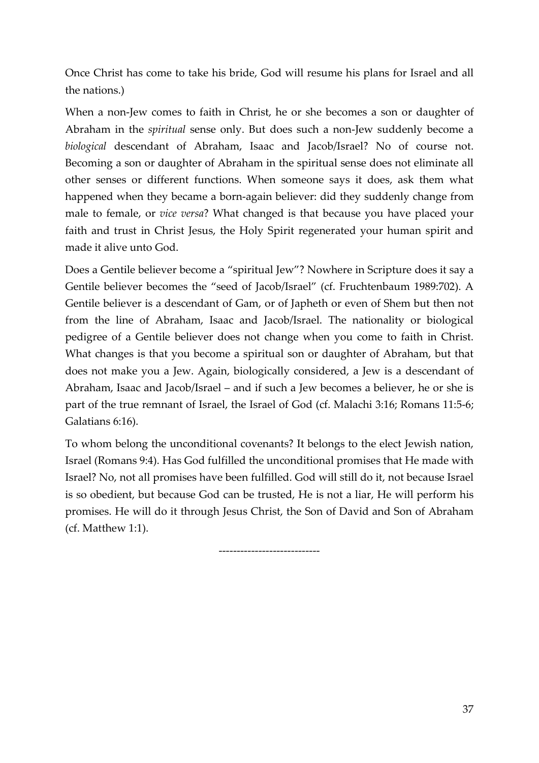Once Christ has come to take his bride, God will resume his plans for Israel and all the nations.)

When a non-Jew comes to faith in Christ, he or she becomes a son or daughter of Abraham in the *spiritual* sense only. But does such a non-Jew suddenly become a *biological* descendant of Abraham, Isaac and Jacob/Israel? No of course not. Becoming a son or daughter of Abraham in the spiritual sense does not eliminate all other senses or different functions. When someone says it does, ask them what happened when they became a born-again believer: did they suddenly change from male to female, or *vice versa*? What changed is that because you have placed your faith and trust in Christ Jesus, the Holy Spirit regenerated your human spirit and made it alive unto God.

Does a Gentile believer become a "spiritual Jew"? Nowhere in Scripture does it say a Gentile believer becomes the "seed of Jacob/Israel" (cf. Fruchtenbaum 1989:702). A Gentile believer is a descendant of Gam, or of Japheth or even of Shem but then not from the line of Abraham, Isaac and Jacob/Israel. The nationality or biological pedigree of a Gentile believer does not change when you come to faith in Christ. What changes is that you become a spiritual son or daughter of Abraham, but that does not make you a Jew. Again, biologically considered, a Jew is a descendant of Abraham, Isaac and Jacob/Israel – and if such a Jew becomes a believer, he or she is part of the true remnant of Israel, the Israel of God (cf. Malachi 3:16; Romans 11:5-6; Galatians 6:16).

To whom belong the unconditional covenants? It belongs to the elect Jewish nation, Israel (Romans 9:4). Has God fulfilled the unconditional promises that He made with Israel? No, not all promises have been fulfilled. God will still do it, not because Israel is so obedient, but because God can be trusted, He is not a liar, He will perform his promises. He will do it through Jesus Christ, the Son of David and Son of Abraham (cf. Matthew 1:1).

----------------------------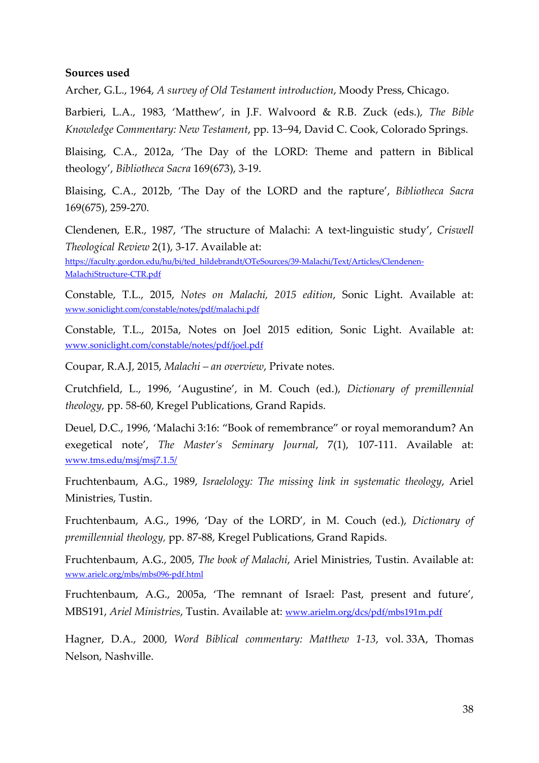#### **Sources used**

Archer, G.L., 1964, *A survey of Old Testament introduction*, Moody Press, Chicago.

Barbieri, L.A., 1983, 'Matthew', in J.F. Walvoord & R.B. Zuck (eds.), *The Bible Knowledge Commentary: New Testament*, pp. 13−94, David C. Cook, Colorado Springs.

Blaising, C.A., 2012a, 'The Day of the LORD: Theme and pattern in Biblical theology', *Bibliotheca Sacra* 169(673), 3-19.

Blaising, C.A., 2012b, 'The Day of the LORD and the rapture', *Bibliotheca Sacra* 169(675), 259-270.

Clendenen, E.R., 1987, 'The structure of Malachi: A text-linguistic study', *Criswell Theological Review* 2(1), 3-17. Available at:

[https://faculty.gordon.edu/hu/bi/ted\\_hildebrandt/OTeSources/39-Malachi/Text/Articles/Clendenen-](https://faculty.gordon.edu/hu/bi/ted_hildebrandt/OTeSources/39-Malachi/Text/Articles/Clendenen-MalachiStructure-CTR.pdf)[MalachiStructure-CTR.pdf](https://faculty.gordon.edu/hu/bi/ted_hildebrandt/OTeSources/39-Malachi/Text/Articles/Clendenen-MalachiStructure-CTR.pdf)

Constable, T.L., 2015, *Notes on Malachi, 2015 edition*, Sonic Light. Available at: [www.soniclight.com/constable/notes/pdf/malachi.pdf](http://www.soniclight.com/constable/notes/pdf/malachi.pdf)

Constable, T.L., 2015a, Notes on Joel 2015 edition, Sonic Light. Available at: [www.soniclight.com/constable/notes/pdf/joel.pdf](http://www.soniclight.com/constable/notes/pdf/joel.pdf)

Coupar, R.A.J, 2015, *Malachi – an overview*, Private notes.

Crutchfield, L., 1996, 'Augustine', in M. Couch (ed.), *Dictionary of premillennial theology,* pp. 58-60, Kregel Publications, Grand Rapids.

Deuel, D.C., 1996, 'Malachi 3:16: "Book of remembrance" or royal memorandum? An exegetical note', *The Master's Seminary Journal*, 7(1), 107-111. Available at: [www.tms.edu/msj/msj7.1.5/](http://www.tms.edu/msj/msj7.1.5/)

Fruchtenbaum, A.G., 1989, *Israelology: The missing link in systematic theology*, Ariel Ministries, Tustin.

Fruchtenbaum, A.G., 1996, 'Day of the LORD', in M. Couch (ed.), *Dictionary of premillennial theology,* pp. 87-88, Kregel Publications, Grand Rapids.

Fruchtenbaum, A.G., 2005, *The book of Malachi*, Ariel Ministries, Tustin. Available at: [www.arielc.org/mbs/mbs096-pdf.html](http://www.arielc.org/mbs/mbs096-pdf.html)

Fruchtenbaum, A.G., 2005a, 'The remnant of Israel: Past, present and future', MBS191, *Ariel Ministries*, Tustin. Available at: [www.arielm.org/dcs/pdf/mbs191m.pdf](http://www.arielm.org/dcs/pdf/mbs191m.pdf)

Hagner, D.A., 2000, *Word Biblical commentary: Matthew 1-13*, vol. 33A, Thomas Nelson, Nashville.